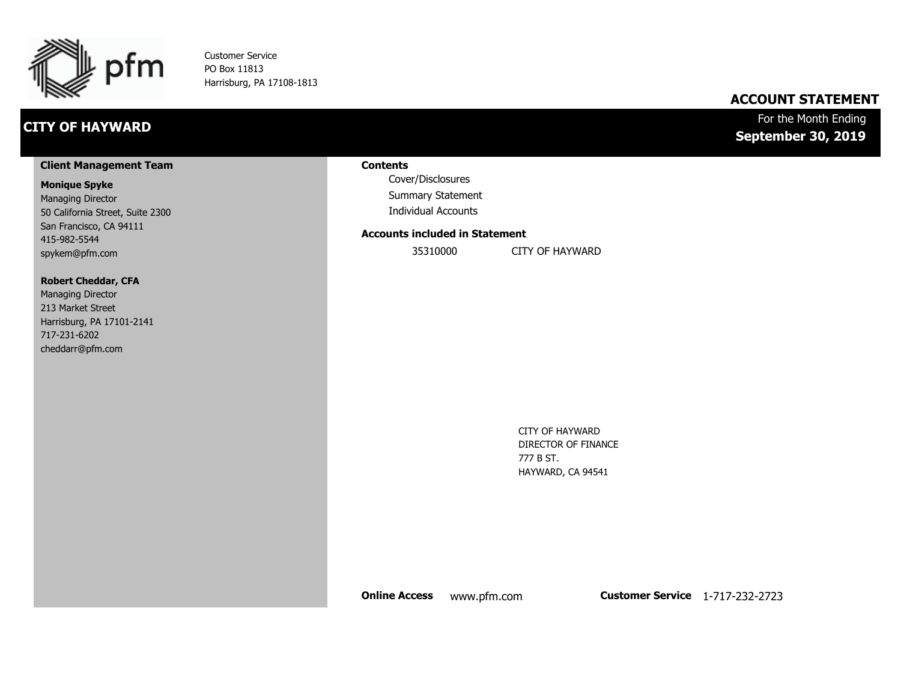

Customer Service PO Box 11813 Harrisburg, PA 17108-1813

## **CITY OF HAYWARD**

## **ACCOUNT STATEMENT**

## For the Month Ending **September 30, 2019**

#### **Client Management Team**

#### **Monique Spyke**

Managing Director 50 California Street, Suite 2300 San Francisco, CA 94111 415-982-5544 spykem@pfm.com

#### **Robert Cheddar, CFA**

| <b>Managing Director</b>  |
|---------------------------|
| 213 Market Street         |
| Harrisburg, PA 17101-2141 |
| 717-231-6202              |
| cheddarr@pfm.com          |

#### **Contents**

Cover/Disclosures Summary Statement Individual Accounts

#### **Accounts included in Statement**

35310000 CITY OF HAYWARD

CITY OF HAYWARD DIRECTOR OF FINANCE 777 B ST. HAYWARD, CA 94541

**Online Access** www.pfm.com **Customer Service** 1-717-232-2723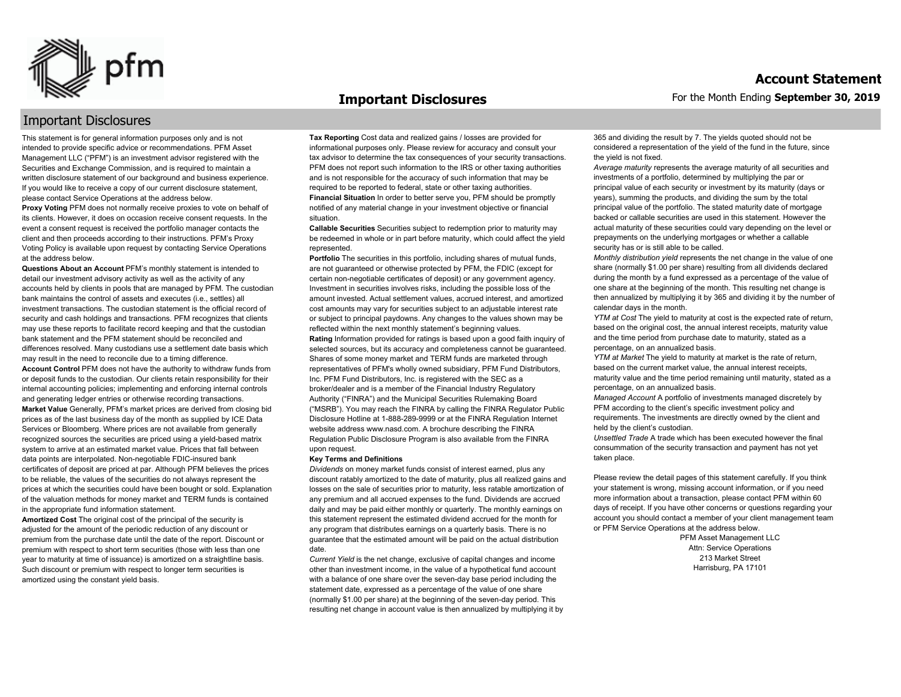

#### **Important Disclosures**

## Important Disclosures

This statement is for general information purposes only and is not intended to provide specific advice or recommendations. PFM Asset Management LLC ("PFM") is an investment advisor registered with the Securities and Exchange Commission, and is required to maintain a written disclosure statement of our background and business experience. If you would like to receive a copy of our current disclosure statement, please contact Service Operations at the address below.

**Proxy Voting** PFM does not normally receive proxies to vote on behalf of its clients. However, it does on occasion receive consent requests. In the event a consent request is received the portfolio manager contacts the client and then proceeds according to their instructions. PFM's Proxy Voting Policy is available upon request by contacting Service Operations at the address below.

**Questions About an Account** PFM's monthly statement is intended to detail our investment advisory activity as well as the activity of any accounts held by clients in pools that are managed by PFM. The custodian bank maintains the control of assets and executes (i.e., settles) all investment transactions. The custodian statement is the official record of security and cash holdings and transactions. PFM recognizes that clients may use these reports to facilitate record keeping and that the custodian bank statement and the PFM statement should be reconciled and differences resolved. Many custodians use a settlement date basis which may result in the need to reconcile due to a timing difference. **Account Control** PFM does not have the authority to withdraw funds from or deposit funds to the custodian. Our clients retain responsibility for their internal accounting policies; implementing and enforcing internal controls and generating ledger entries or otherwise recording transactions. **Market Value** Generally, PFM's market prices are derived from closing bid prices as of the last business day of the month as supplied by ICE Data Services or Bloomberg. Where prices are not available from generally recognized sources the securities are priced using a yield-based matrix system to arrive at an estimated market value. Prices that fall between data points are interpolated. Non-negotiable FDIC-insured bank certificates of deposit are priced at par. Although PFM believes the prices to be reliable, the values of the securities do not always represent the prices at which the securities could have been bought or sold. Explanation of the valuation methods for money market and TERM funds is contained in the appropriate fund information statement.

**Amortized Cost** The original cost of the principal of the security is adjusted for the amount of the periodic reduction of any discount or premium from the purchase date until the date of the report. Discount or premium with respect to short term securities (those with less than one year to maturity at time of issuance) is amortized on a straightline basis. Such discount or premium with respect to longer term securities is amortized using the constant yield basis.

**Tax Reporting** Cost data and realized gains / losses are provided for informational purposes only. Please review for accuracy and consult your tax advisor to determine the tax consequences of your security transactions. PFM does not report such information to the IRS or other taxing authorities and is not responsible for the accuracy of such information that may be required to be reported to federal, state or other taxing authorities. **Financial Situation** In order to better serve you, PFM should be promptly notified of any material change in your investment objective or financial situation.

**Callable Securities** Securities subject to redemption prior to maturity may be redeemed in whole or in part before maturity, which could affect the yield represented.

Portfolio The securities in this portfolio, including shares of mutual funds, are not guaranteed or otherwise protected by PFM, the FDIC (except for certain non-negotiable certificates of deposit) or any government agency. Investment in securities involves risks, including the possible loss of the amount invested. Actual settlement values, accrued interest, and amortized cost amounts may vary for securities subject to an adjustable interest rate or subject to principal paydowns. Any changes to the values shown may be reflected within the next monthly statement's beginning values. **Rating** Information provided for ratings is based upon a good faith inquiry of selected sources, but its accuracy and completeness cannot be guaranteed. Shares of some money market and TERM funds are marketed through representatives of PFM's wholly owned subsidiary, PFM Fund Distributors, Inc. PFM Fund Distributors, Inc. is registered with the SEC as a broker/dealer and is a member of the Financial Industry Regulatory Authority ("FINRA") and the Municipal Securities Rulemaking Board ("MSRB"). You may reach the FINRA by calling the FINRA Regulator Public Disclosure Hotline at 1-888-289-9999 or at the FINRA Regulation Internet website address www.nasd.com. A brochure describing the FINRA Regulation Public Disclosure Program is also available from the FINRA upon request.

#### **Key Terms and Definitions**

*Dividends* on money market funds consist of interest earned, plus any discount ratably amortized to the date of maturity, plus all realized gains and losses on the sale of securities prior to maturity, less ratable amortization of any premium and all accrued expenses to the fund. Dividends are accrued daily and may be paid either monthly or quarterly. The monthly earnings on this statement represent the estimated dividend accrued for the month for any program that distributes earnings on a quarterly basis. There is no guarantee that the estimated amount will be paid on the actual distribution date.

*Current Yield* is the net change, exclusive of capital changes and income other than investment income, in the value of a hypothetical fund account with a balance of one share over the seven-day base period including the statement date, expressed as a percentage of the value of one share (normally \$1.00 per share) at the beginning of the seven-day period. This resulting net change in account value is then annualized by multiplying it by 365 and dividing the result by 7. The yields quoted should not be considered a representation of the yield of the fund in the future, since the yield is not fixed.

*Average maturity* represents the average maturity of all securities and investments of a portfolio, determined by multiplying the par or principal value of each security or investment by its maturity (days or years), summing the products, and dividing the sum by the total principal value of the portfolio. The stated maturity date of mortgage backed or callable securities are used in this statement. However the actual maturity of these securities could vary depending on the level or prepayments on the underlying mortgages or whether a callable security has or is still able to be called.

*Monthly distribution yield* represents the net change in the value of one share (normally \$1.00 per share) resulting from all dividends declared during the month by a fund expressed as a percentage of the value of one share at the beginning of the month. This resulting net change is then annualized by multiplying it by 365 and dividing it by the number of calendar days in the month.

*YTM at Cost* The yield to maturity at cost is the expected rate of return, based on the original cost, the annual interest receipts, maturity value and the time period from purchase date to maturity, stated as a percentage, on an annualized basis.

*YTM at Market* The yield to maturity at market is the rate of return, based on the current market value, the annual interest receipts, maturity value and the time period remaining until maturity, stated as a percentage, on an annualized basis.

*Managed Account* A portfolio of investments managed discretely by PFM according to the client's specific investment policy and requirements. The investments are directly owned by the client and held by the client's custodian.

*Unsettled Trade* A trade which has been executed however the final consummation of the security transaction and payment has not yet taken place.

Please review the detail pages of this statement carefully. If you think your statement is wrong, missing account information, or if you need more information about a transaction, please contact PFM within 60 days of receipt. If you have other concerns or questions regarding your account you should contact a member of your client management team or PFM Service Operations at the address below.

> PFM Asset Management LLC Attn: Service Operations 213 Market Street Harrisburg, PA 17101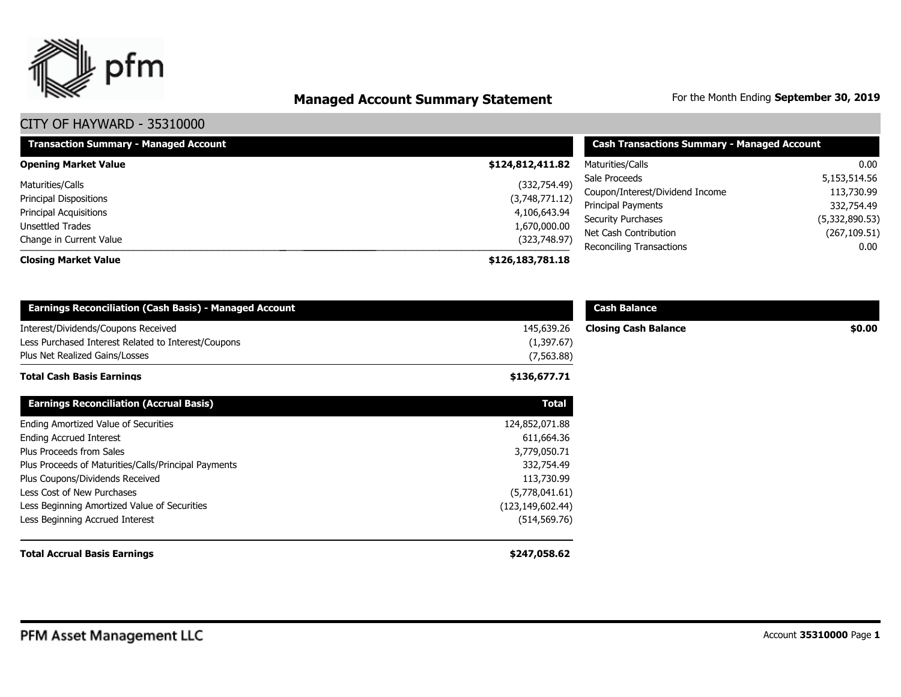

# **Managed Account Summary Statement** For the Month Ending September 30, 2019

| <b>Transaction Summary - Managed Account</b> | <b>Cash Transactions Summary - Managed Account</b> |                                 |                          |
|----------------------------------------------|----------------------------------------------------|---------------------------------|--------------------------|
| <b>Opening Market Value</b>                  | \$124,812,411.82                                   | Maturities/Calls                | 0.00                     |
| Maturities/Calls                             | (332,754.49)                                       | Sale Proceeds                   | 5,153,514.56             |
| <b>Principal Dispositions</b>                | (3,748,771.12)                                     | Coupon/Interest/Dividend Income | 113,730.99<br>332,754.49 |
| <b>Principal Acquisitions</b>                | 4,106,643.94                                       | Principal Payments              |                          |
| Unsettled Trades                             | 1,670,000.00                                       | Security Purchases              | (5,332,890.53)           |
| Change in Current Value                      | (323,748.97)                                       | Net Cash Contribution           | (267, 109.51)            |
| <b>Closing Market Value</b>                  | \$126,183,781.18                                   | <b>Reconciling Transactions</b> | 0.00                     |
|                                              |                                                    |                                 |                          |

| <b>Earnings Reconciliation (Cash Basis) - Managed Account</b>                              |                          | <b>Cash Balance</b>         |        |
|--------------------------------------------------------------------------------------------|--------------------------|-----------------------------|--------|
| Interest/Dividends/Coupons Received<br>Less Purchased Interest Related to Interest/Coupons | 145,639.26<br>(1,397.67) | <b>Closing Cash Balance</b> | \$0.00 |
| Plus Net Realized Gains/Losses                                                             | (7, 563.88)              |                             |        |
| <b>Total Cash Basis Earnings</b>                                                           | \$136,677.71             |                             |        |
| <b>Earnings Reconciliation (Accrual Basis)</b>                                             | <b>Total</b>             |                             |        |
| Ending Amortized Value of Securities                                                       | 124,852,071.88           |                             |        |
| <b>Ending Accrued Interest</b>                                                             | 611,664.36               |                             |        |
| Plus Proceeds from Sales                                                                   | 3,779,050.71             |                             |        |
| Plus Proceeds of Maturities/Calls/Principal Payments                                       | 332,754.49               |                             |        |
| Plus Coupons/Dividends Received                                                            | 113,730.99               |                             |        |
| Less Cost of New Purchases                                                                 | (5,778,041.61)           |                             |        |
| Less Beginning Amortized Value of Securities                                               | (123, 149, 602.44)       |                             |        |
| Less Beginning Accrued Interest                                                            | (514, 569.76)            |                             |        |
| <b>Total Accrual Basis Earnings</b>                                                        | \$247,058.62             |                             |        |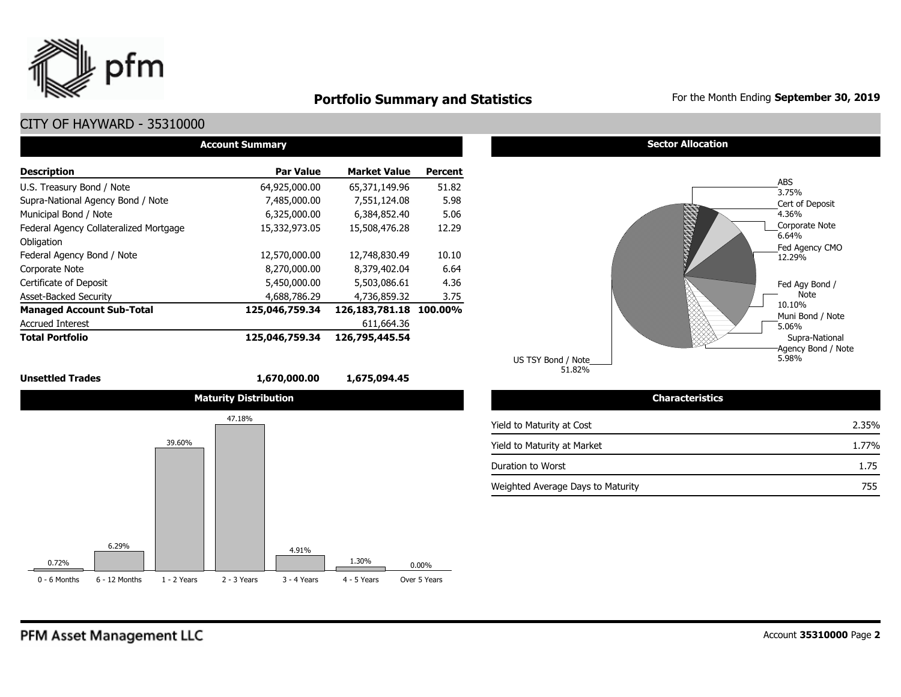

## **Portfolio Summary and Statistics** For the Month Ending September 30, 2019

## CITY OF HAYWARD - 35310000

| <b>Account Summary</b>                 |                  |                     |         |  |  |  |  |  |  |  |
|----------------------------------------|------------------|---------------------|---------|--|--|--|--|--|--|--|
| <b>Description</b>                     | <b>Par Value</b> | <b>Market Value</b> | Percent |  |  |  |  |  |  |  |
| U.S. Treasury Bond / Note              | 64,925,000.00    | 65,371,149.96       | 51.82   |  |  |  |  |  |  |  |
| Supra-National Agency Bond / Note      | 7,485,000.00     | 7,551,124.08        | 5.98    |  |  |  |  |  |  |  |
| Municipal Bond / Note                  | 6,325,000.00     | 6,384,852,40        | 5.06    |  |  |  |  |  |  |  |
| Federal Agency Collateralized Mortgage | 15,332,973.05    | 15,508,476.28       | 12.29   |  |  |  |  |  |  |  |
| Obligation                             |                  |                     |         |  |  |  |  |  |  |  |
| Federal Agency Bond / Note             | 12,570,000.00    | 12,748,830.49       | 10.10   |  |  |  |  |  |  |  |
| Corporate Note                         | 8,270,000.00     | 8,379,402.04        | 6.64    |  |  |  |  |  |  |  |
| Certificate of Deposit                 | 5,450,000.00     | 5,503,086.61        | 4.36    |  |  |  |  |  |  |  |
| <b>Asset-Backed Security</b>           | 4,688,786,29     | 4,736,859.32        | 3.75    |  |  |  |  |  |  |  |
| <b>Managed Account Sub-Total</b>       | 125,046,759.34   | 126, 183, 781. 18   | 100.00% |  |  |  |  |  |  |  |
| <b>Accrued Interest</b>                |                  | 611,664.36          |         |  |  |  |  |  |  |  |
| <b>Total Portfolio</b>                 | 125,046,759.34   | 126,795,445.54      |         |  |  |  |  |  |  |  |

#### **Unsettled Trades 1,670,000.00 1,675,094.45**



**Sector Allocation** 



| TSY Bond / Note |        |  |
|-----------------|--------|--|
|                 | 51.82% |  |

US

| <b>Characteristics</b>            |       |
|-----------------------------------|-------|
| Yield to Maturity at Cost         | 2.35% |
| Yield to Maturity at Market       | 1.77% |
| Duration to Worst                 | 1.75  |
| Weighted Average Days to Maturity | 755   |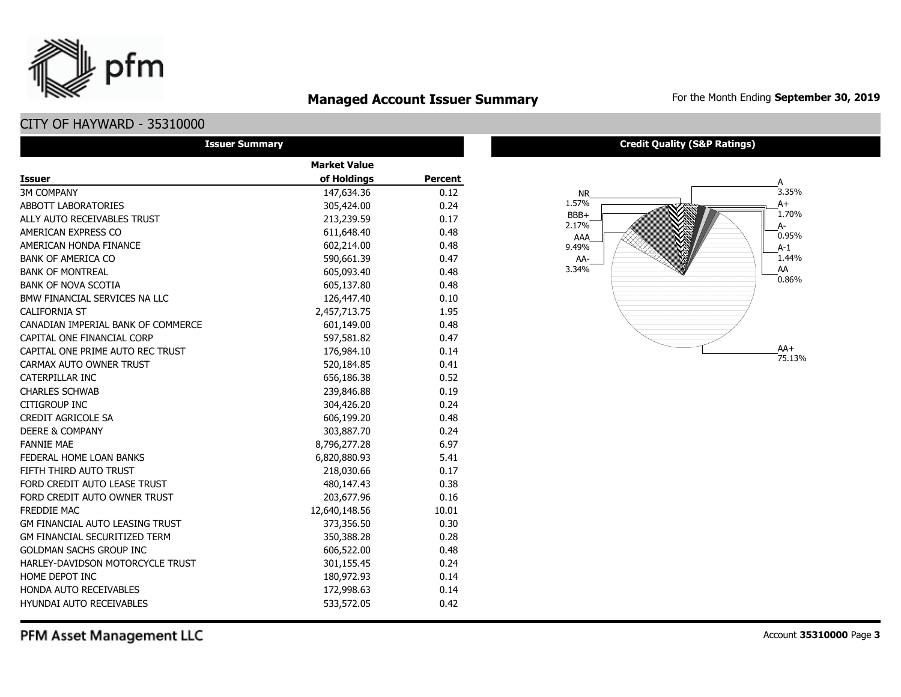

## **Managed Account Issuer Summary** For the Month Ending September 30, 2019

## CITY OF HAYWARD - 35310000

| <b>Issuer Summary</b>                  |                     |         |  |  |  |  |
|----------------------------------------|---------------------|---------|--|--|--|--|
|                                        | <b>Market Value</b> |         |  |  |  |  |
| <b>Issuer</b>                          | of Holdings         | Percent |  |  |  |  |
| <b>3M COMPANY</b>                      | 147,634.36          | 0.12    |  |  |  |  |
| <b>ABBOTT LABORATORIES</b>             | 305,424.00          | 0.24    |  |  |  |  |
| ALLY AUTO RECEIVABLES TRUST            | 213,239.59          | 0.17    |  |  |  |  |
| AMERICAN EXPRESS CO                    | 611,648.40          | 0.48    |  |  |  |  |
| AMERICAN HONDA FINANCE                 | 602,214.00          | 0.48    |  |  |  |  |
| <b>BANK OF AMERICA CO</b>              | 590,661.39          | 0.47    |  |  |  |  |
| <b>BANK OF MONTREAL</b>                | 605,093.40          | 0.48    |  |  |  |  |
| <b>BANK OF NOVA SCOTIA</b>             | 605,137.80          | 0.48    |  |  |  |  |
| BMW FINANCIAL SERVICES NA LLC          | 126,447.40          | 0.10    |  |  |  |  |
| <b>CALIFORNIA ST</b>                   | 2,457,713.75        | 1.95    |  |  |  |  |
| CANADIAN IMPERIAL BANK OF COMMERCE     | 601,149.00          | 0.48    |  |  |  |  |
| CAPITAL ONE FINANCIAL CORP             | 597,581.82          | 0.47    |  |  |  |  |
| CAPITAL ONE PRIME AUTO REC TRUST       | 176,984.10          | 0.14    |  |  |  |  |
| CARMAX AUTO OWNER TRUST                | 520,184.85          | 0.41    |  |  |  |  |
| <b>CATERPILLAR INC</b>                 | 656,186.38          | 0.52    |  |  |  |  |
| <b>CHARLES SCHWAB</b>                  | 239,846.88          | 0.19    |  |  |  |  |
| <b>CITIGROUP INC</b>                   | 304,426.20          | 0.24    |  |  |  |  |
| <b>CREDIT AGRICOLE SA</b>              | 606,199.20          | 0.48    |  |  |  |  |
| <b>DEERE &amp; COMPANY</b>             | 303,887.70          | 0.24    |  |  |  |  |
| <b>FANNIE MAE</b>                      | 8,796,277.28        | 6.97    |  |  |  |  |
| FEDERAL HOME LOAN BANKS                | 6,820,880.93        | 5.41    |  |  |  |  |
| FIFTH THIRD AUTO TRUST                 | 218,030.66          | 0.17    |  |  |  |  |
| FORD CREDIT AUTO LEASE TRUST           | 480,147.43          | 0.38    |  |  |  |  |
| FORD CREDIT AUTO OWNER TRUST           | 203,677.96          | 0.16    |  |  |  |  |
| <b>FREDDIE MAC</b>                     | 12,640,148.56       | 10.01   |  |  |  |  |
| <b>GM FINANCIAL AUTO LEASING TRUST</b> | 373,356.50          | 0.30    |  |  |  |  |
| <b>GM FINANCIAL SECURITIZED TERM</b>   | 350,388.28          | 0.28    |  |  |  |  |
| <b>GOLDMAN SACHS GROUP INC</b>         | 606,522.00          | 0.48    |  |  |  |  |
| HARLEY-DAVIDSON MOTORCYCLE TRUST       | 301,155.45          | 0.24    |  |  |  |  |
| HOME DEPOT INC                         | 180,972.93          | 0.14    |  |  |  |  |
| <b>HONDA AUTO RECEIVABLES</b>          | 172,998.63          | 0.14    |  |  |  |  |
| <b>HYUNDAI AUTO RECEIVABLES</b>        | 533,572.05          | 0.42    |  |  |  |  |

#### **Credit Quality (S&P Ratings)**



PFM Asset Management LLC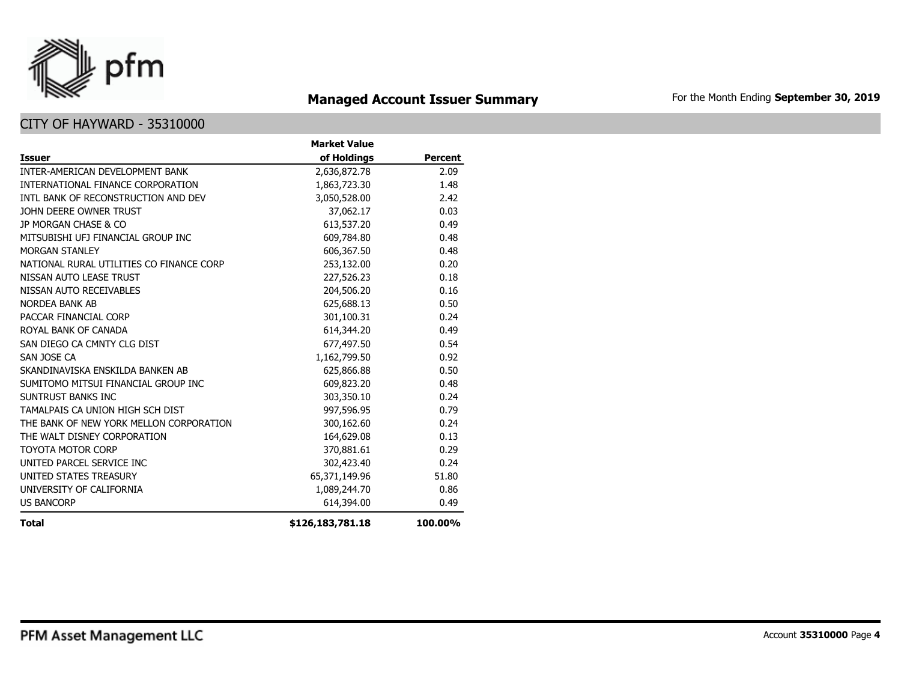

## **Managed Account Issuer Summary** For the Month Ending September 30, 2019

|                                          | <b>Market Value</b> |                |
|------------------------------------------|---------------------|----------------|
| <b>Issuer</b>                            | of Holdings         | <b>Percent</b> |
| INTER-AMERICAN DEVELOPMENT BANK          | 2,636,872.78        | 2.09           |
| INTERNATIONAL FINANCE CORPORATION        | 1,863,723.30        | 1.48           |
| INTL BANK OF RECONSTRUCTION AND DEV      | 3,050,528.00        | 2.42           |
| JOHN DEERE OWNER TRUST                   | 37,062.17           | 0.03           |
| JP MORGAN CHASE & CO                     | 613,537.20          | 0.49           |
| MITSUBISHI UFJ FINANCIAL GROUP INC       | 609,784.80          | 0.48           |
| <b>MORGAN STANLEY</b>                    | 606,367.50          | 0.48           |
| NATIONAL RURAL UTILITIES CO FINANCE CORP | 253,132.00          | 0.20           |
| NISSAN AUTO LEASE TRUST                  | 227,526.23          | 0.18           |
| NISSAN AUTO RECEIVABLES                  | 204,506.20          | 0.16           |
| NORDEA BANK AB                           | 625,688.13          | 0.50           |
| PACCAR FINANCIAL CORP                    | 301,100.31          | 0.24           |
| ROYAL BANK OF CANADA                     | 614,344.20          | 0.49           |
| SAN DIEGO CA CMNTY CLG DIST              | 677,497.50          | 0.54           |
| SAN JOSE CA                              | 1,162,799.50        | 0.92           |
| SKANDINAVISKA ENSKILDA BANKEN AB         | 625,866.88          | 0.50           |
| SUMITOMO MITSUI FINANCIAL GROUP INC      | 609,823.20          | 0.48           |
| SUNTRUST BANKS INC                       | 303,350.10          | 0.24           |
| TAMALPAIS CA UNION HIGH SCH DIST         | 997,596.95          | 0.79           |
| THE BANK OF NEW YORK MELLON CORPORATION  | 300,162.60          | 0.24           |
| THE WALT DISNEY CORPORATION              | 164,629.08          | 0.13           |
| <b>TOYOTA MOTOR CORP</b>                 | 370,881.61          | 0.29           |
| UNITED PARCEL SERVICE INC                | 302,423.40          | 0.24           |
| UNITED STATES TREASURY                   | 65,371,149.96       | 51.80          |
| UNIVERSITY OF CALIFORNIA                 | 1,089,244.70        | 0.86           |
| <b>US BANCORP</b>                        | 614,394.00          | 0.49           |
| Total                                    | \$126,183,781.18    | 100.00%        |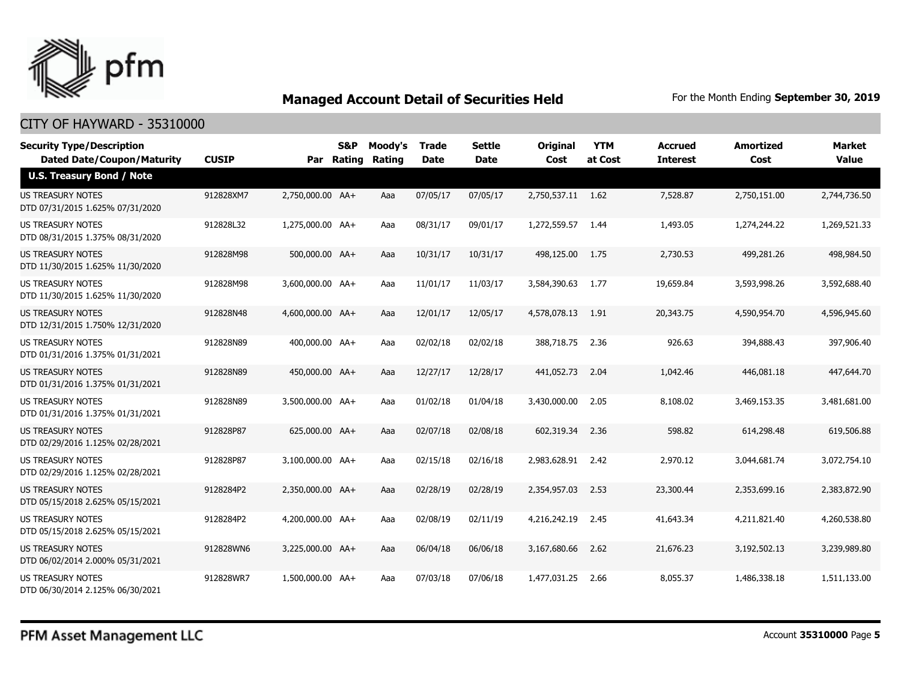

| <b>Security Type/Description</b><br><b>Dated Date/Coupon/Maturity</b> | <b>CUSIP</b> |                  | S&P<br>Par Rating | Moody's<br>Rating | <b>Trade</b><br>Date | <b>Settle</b><br>Date | <b>Original</b><br>Cost | <b>YTM</b><br>at Cost | <b>Accrued</b><br><b>Interest</b> | <b>Amortized</b><br>Cost | <b>Market</b><br><b>Value</b> |
|-----------------------------------------------------------------------|--------------|------------------|-------------------|-------------------|----------------------|-----------------------|-------------------------|-----------------------|-----------------------------------|--------------------------|-------------------------------|
| <b>U.S. Treasury Bond / Note</b>                                      |              |                  |                   |                   |                      |                       |                         |                       |                                   |                          |                               |
| <b>US TREASURY NOTES</b><br>DTD 07/31/2015 1.625% 07/31/2020          | 912828XM7    | 2,750,000.00 AA+ |                   | Aaa               | 07/05/17             | 07/05/17              | 2,750,537.11 1.62       |                       | 7,528.87                          | 2,750,151.00             | 2,744,736.50                  |
| US TREASURY NOTES<br>DTD 08/31/2015 1.375% 08/31/2020                 | 912828L32    | 1,275,000.00 AA+ |                   | Aaa               | 08/31/17             | 09/01/17              | 1,272,559.57            | 1.44                  | 1,493.05                          | 1,274,244.22             | 1,269,521.33                  |
| <b>US TREASURY NOTES</b><br>DTD 11/30/2015 1.625% 11/30/2020          | 912828M98    | 500,000.00 AA+   |                   | Aaa               | 10/31/17             | 10/31/17              | 498,125.00              | 1.75                  | 2,730.53                          | 499,281.26               | 498,984.50                    |
| <b>US TREASURY NOTES</b><br>DTD 11/30/2015 1.625% 11/30/2020          | 912828M98    | 3,600,000,00 AA+ |                   | Aaa               | 11/01/17             | 11/03/17              | 3,584,390.63            | 1.77                  | 19,659.84                         | 3,593,998.26             | 3,592,688.40                  |
| <b>US TREASURY NOTES</b><br>DTD 12/31/2015 1.750% 12/31/2020          | 912828N48    | 4,600,000.00 AA+ |                   | Aaa               | 12/01/17             | 12/05/17              | 4,578,078.13            | 1.91                  | 20,343.75                         | 4,590,954.70             | 4,596,945.60                  |
| <b>US TREASURY NOTES</b><br>DTD 01/31/2016 1.375% 01/31/2021          | 912828N89    | 400,000.00 AA+   |                   | Aaa               | 02/02/18             | 02/02/18              | 388,718.75 2.36         |                       | 926.63                            | 394,888.43               | 397,906.40                    |
| US TREASURY NOTES<br>DTD 01/31/2016 1.375% 01/31/2021                 | 912828N89    | 450,000.00 AA+   |                   | Aaa               | 12/27/17             | 12/28/17              | 441.052.73              | 2.04                  | 1,042.46                          | 446,081.18               | 447,644.70                    |
| US TREASURY NOTES<br>DTD 01/31/2016 1.375% 01/31/2021                 | 912828N89    | 3,500,000.00 AA+ |                   | Aaa               | 01/02/18             | 01/04/18              | 3,430,000.00            | 2.05                  | 8,108.02                          | 3,469,153.35             | 3,481,681.00                  |
| US TREASURY NOTES<br>DTD 02/29/2016 1.125% 02/28/2021                 | 912828P87    | 625,000.00 AA+   |                   | Aaa               | 02/07/18             | 02/08/18              | 602,319.34              | 2.36                  | 598.82                            | 614,298.48               | 619,506.88                    |
| <b>US TREASURY NOTES</b><br>DTD 02/29/2016 1.125% 02/28/2021          | 912828P87    | 3,100,000.00 AA+ |                   | Aaa               | 02/15/18             | 02/16/18              | 2,983,628.91 2.42       |                       | 2,970.12                          | 3,044,681.74             | 3,072,754.10                  |
| US TREASURY NOTES<br>DTD 05/15/2018 2.625% 05/15/2021                 | 9128284P2    | 2,350,000.00 AA+ |                   | Aaa               | 02/28/19             | 02/28/19              | 2,354,957.03            | 2.53                  | 23,300.44                         | 2,353,699.16             | 2,383,872.90                  |
| <b>US TREASURY NOTES</b><br>DTD 05/15/2018 2.625% 05/15/2021          | 9128284P2    | 4,200,000.00 AA+ |                   | Aaa               | 02/08/19             | 02/11/19              | 4,216,242.19            | 2.45                  | 41,643.34                         | 4,211,821.40             | 4,260,538.80                  |
| <b>US TREASURY NOTES</b><br>DTD 06/02/2014 2.000% 05/31/2021          | 912828WN6    | 3,225,000.00 AA+ |                   | Aaa               | 06/04/18             | 06/06/18              | 3,167,680,66            | 2.62                  | 21,676.23                         | 3,192,502.13             | 3,239,989,80                  |
| <b>US TREASURY NOTES</b><br>DTD 06/30/2014 2.125% 06/30/2021          | 912828WR7    | 1,500,000.00 AA+ |                   | Aaa               | 07/03/18             | 07/06/18              | 1,477,031.25            | 2.66                  | 8,055,37                          | 1,486,338.18             | 1,511,133.00                  |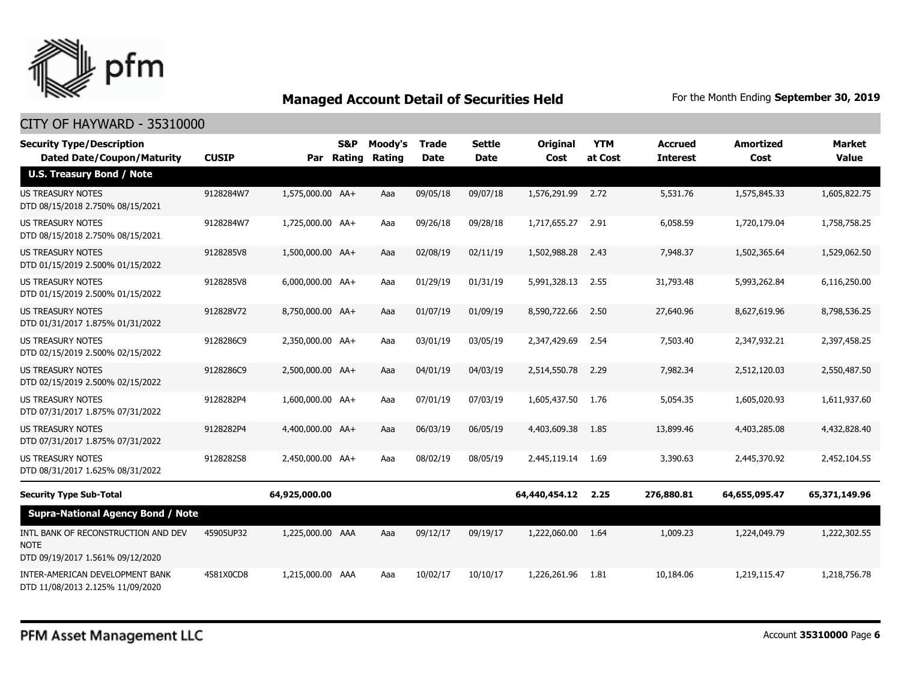

| <b>Security Type/Description</b><br><b>Dated Date/Coupon/Maturity</b>                  | <b>CUSIP</b> | Par              | <b>S&amp;P</b><br>Rating | Moody's<br>Rating | <b>Trade</b><br><b>Date</b> | <b>Settle</b><br><b>Date</b> | <b>Original</b><br>Cost | <b>YTM</b><br>at Cost | <b>Accrued</b><br><b>Interest</b> | <b>Amortized</b><br>Cost | <b>Market</b><br><b>Value</b> |
|----------------------------------------------------------------------------------------|--------------|------------------|--------------------------|-------------------|-----------------------------|------------------------------|-------------------------|-----------------------|-----------------------------------|--------------------------|-------------------------------|
| <b>U.S. Treasury Bond / Note</b>                                                       |              |                  |                          |                   |                             |                              |                         |                       |                                   |                          |                               |
| <b>US TREASURY NOTES</b><br>DTD 08/15/2018 2.750% 08/15/2021                           | 9128284W7    | 1,575,000.00 AA+ |                          | Aaa               | 09/05/18                    | 09/07/18                     | 1,576,291.99 2.72       |                       | 5,531.76                          | 1,575,845.33             | 1,605,822.75                  |
| <b>US TREASURY NOTES</b><br>DTD 08/15/2018 2.750% 08/15/2021                           | 9128284W7    | 1,725,000.00 AA+ |                          | Aaa               | 09/26/18                    | 09/28/18                     | 1,717,655.27            | 2.91                  | 6,058.59                          | 1,720,179.04             | 1,758,758.25                  |
| <b>US TREASURY NOTES</b><br>DTD 01/15/2019 2.500% 01/15/2022                           | 9128285V8    | 1,500,000.00 AA+ |                          | Aaa               | 02/08/19                    | 02/11/19                     | 1,502,988.28            | 2.43                  | 7,948.37                          | 1,502,365.64             | 1,529,062.50                  |
| US TREASURY NOTES<br>DTD 01/15/2019 2.500% 01/15/2022                                  | 9128285V8    | 6,000,000.00 AA+ |                          | Aaa               | 01/29/19                    | 01/31/19                     | 5,991,328.13            | 2.55                  | 31,793.48                         | 5,993,262.84             | 6,116,250.00                  |
| <b>US TREASURY NOTES</b><br>DTD 01/31/2017 1.875% 01/31/2022                           | 912828V72    | 8,750,000.00 AA+ |                          | Aaa               | 01/07/19                    | 01/09/19                     | 8,590,722.66            | 2.50                  | 27,640.96                         | 8,627,619.96             | 8,798,536.25                  |
| <b>US TREASURY NOTES</b><br>DTD 02/15/2019 2.500% 02/15/2022                           | 9128286C9    | 2.350.000.00 AA+ |                          | Aaa               | 03/01/19                    | 03/05/19                     | 2,347,429.69            | 2.54                  | 7,503.40                          | 2.347.932.21             | 2,397,458.25                  |
| <b>US TREASURY NOTES</b><br>DTD 02/15/2019 2.500% 02/15/2022                           | 9128286C9    | 2,500,000.00 AA+ |                          | Aaa               | 04/01/19                    | 04/03/19                     | 2,514,550.78            | 2.29                  | 7,982.34                          | 2,512,120.03             | 2,550,487.50                  |
| <b>US TREASURY NOTES</b><br>DTD 07/31/2017 1.875% 07/31/2022                           | 9128282P4    | 1,600,000.00 AA+ |                          | Aaa               | 07/01/19                    | 07/03/19                     | 1,605,437.50            | 1.76                  | 5,054.35                          | 1,605,020.93             | 1,611,937.60                  |
| <b>US TREASURY NOTES</b><br>DTD 07/31/2017 1.875% 07/31/2022                           | 9128282P4    | 4,400,000.00 AA+ |                          | Aaa               | 06/03/19                    | 06/05/19                     | 4,403,609.38            | 1.85                  | 13,899.46                         | 4,403,285.08             | 4,432,828.40                  |
| <b>US TREASURY NOTES</b><br>DTD 08/31/2017 1.625% 08/31/2022                           | 9128282S8    | 2,450,000.00 AA+ |                          | Aaa               | 08/02/19                    | 08/05/19                     | 2,445,119.14            | 1.69                  | 3,390.63                          | 2,445,370.92             | 2,452,104.55                  |
| <b>Security Type Sub-Total</b>                                                         |              | 64,925,000.00    |                          |                   |                             |                              | 64,440,454.12           | 2.25                  | 276,880.81                        | 64,655,095.47            | 65,371,149.96                 |
| <b>Supra-National Agency Bond / Note</b>                                               |              |                  |                          |                   |                             |                              |                         |                       |                                   |                          |                               |
| INTL BANK OF RECONSTRUCTION AND DEV<br><b>NOTE</b><br>DTD 09/19/2017 1.561% 09/12/2020 | 45905UP32    | 1,225,000.00 AAA |                          | Aaa               | 09/12/17                    | 09/19/17                     | 1,222,060.00            | 1.64                  | 1,009.23                          | 1,224,049.79             | 1,222,302.55                  |
| INTER-AMERICAN DEVELOPMENT BANK<br>DTD 11/08/2013 2.125% 11/09/2020                    | 4581X0CD8    | 1,215,000.00 AAA |                          | Aaa               | 10/02/17                    | 10/10/17                     | 1,226,261.96            | 1.81                  | 10,184.06                         | 1,219,115.47             | 1,218,756.78                  |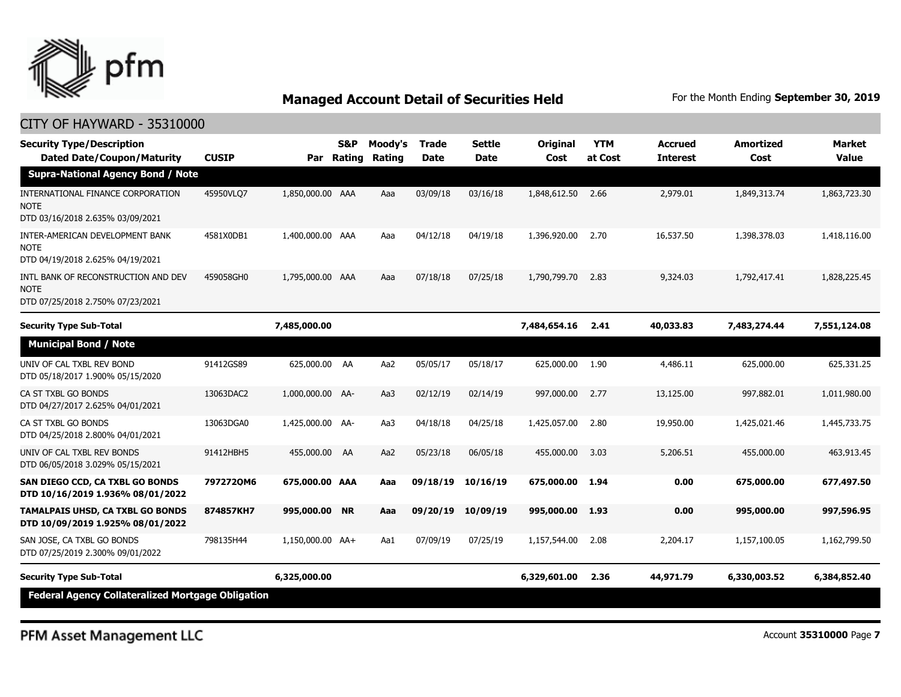

| <b>Security Type/Description</b><br><b>Dated Date/Coupon/Maturity</b>                  | <b>CUSIP</b> | Par              | <b>S&amp;P</b><br>Rating | Moody's<br>Rating | Trade<br><b>Date</b> | <b>Settle</b><br><b>Date</b> | Original<br>Cost | <b>YTM</b><br>at Cost | <b>Accrued</b><br><b>Interest</b> | <b>Amortized</b><br>Cost | <b>Market</b><br><b>Value</b> |
|----------------------------------------------------------------------------------------|--------------|------------------|--------------------------|-------------------|----------------------|------------------------------|------------------|-----------------------|-----------------------------------|--------------------------|-------------------------------|
| <b>Supra-National Agency Bond / Note</b>                                               |              |                  |                          |                   |                      |                              |                  |                       |                                   |                          |                               |
| INTERNATIONAL FINANCE CORPORATION<br><b>NOTE</b><br>DTD 03/16/2018 2.635% 03/09/2021   | 45950VLQ7    | 1,850,000.00 AAA |                          | Aaa               | 03/09/18             | 03/16/18                     | 1,848,612.50     | 2.66                  | 2,979.01                          | 1,849,313.74             | 1,863,723.30                  |
| INTER-AMERICAN DEVELOPMENT BANK<br><b>NOTE</b><br>DTD 04/19/2018 2.625% 04/19/2021     | 4581X0DB1    | 1,400,000.00 AAA |                          | Aaa               | 04/12/18             | 04/19/18                     | 1,396,920.00     | 2.70                  | 16,537.50                         | 1,398,378.03             | 1,418,116.00                  |
| INTL BANK OF RECONSTRUCTION AND DEV<br><b>NOTE</b><br>DTD 07/25/2018 2.750% 07/23/2021 | 459058GH0    | 1,795,000.00 AAA |                          | Aaa               | 07/18/18             | 07/25/18                     | 1,790,799,70     | 2.83                  | 9,324.03                          | 1,792,417.41             | 1,828,225.45                  |
| <b>Security Type Sub-Total</b>                                                         |              | 7,485,000.00     |                          |                   |                      |                              | 7,484,654.16     | 2.41                  | 40,033.83                         | 7,483,274.44             | 7,551,124.08                  |
| <b>Municipal Bond / Note</b>                                                           |              |                  |                          |                   |                      |                              |                  |                       |                                   |                          |                               |
| UNIV OF CAL TXBL REV BOND<br>DTD 05/18/2017 1.900% 05/15/2020                          | 91412GS89    | 625,000.00 AA    |                          | Aa2               | 05/05/17             | 05/18/17                     | 625,000.00       | 1.90                  | 4,486.11                          | 625,000.00               | 625,331.25                    |
| CA ST TXBL GO BONDS<br>DTD 04/27/2017 2.625% 04/01/2021                                | 13063DAC2    | 1,000,000.00 AA- |                          | Aa3               | 02/12/19             | 02/14/19                     | 997,000.00       | 2.77                  | 13,125.00                         | 997,882.01               | 1,011,980.00                  |
| CA ST TXBL GO BONDS<br>DTD 04/25/2018 2.800% 04/01/2021                                | 13063DGA0    | 1,425,000.00 AA- |                          | Aa3               | 04/18/18             | 04/25/18                     | 1,425,057.00     | 2.80                  | 19,950.00                         | 1,425,021.46             | 1,445,733.75                  |
| UNIV OF CAL TXBL REV BONDS<br>DTD 06/05/2018 3.029% 05/15/2021                         | 91412HBH5    | 455,000.00 AA    |                          | Aa2               | 05/23/18             | 06/05/18                     | 455,000.00       | 3.03                  | 5,206.51                          | 455,000.00               | 463,913.45                    |
| SAN DIEGO CCD, CA TXBL GO BONDS<br>DTD 10/16/2019 1.936% 08/01/2022                    | 7972720M6    | 675,000.00 AAA   |                          | Aaa               | 09/18/19             | 10/16/19                     | 675,000,00       | 1.94                  | 0.00                              | 675,000.00               | 677,497.50                    |
| <b>TAMALPAIS UHSD, CA TXBL GO BONDS</b><br>DTD 10/09/2019 1.925% 08/01/2022            | 874857KH7    | 995,000.00 NR    |                          | Aaa               | 09/20/19             | 10/09/19                     | 995,000.00       | 1.93                  | 0.00                              | 995,000.00               | 997,596.95                    |
| SAN JOSE, CA TXBL GO BONDS<br>DTD 07/25/2019 2.300% 09/01/2022                         | 798135H44    | 1,150,000.00 AA+ |                          | Aa1               | 07/09/19             | 07/25/19                     | 1,157,544.00     | 2.08                  | 2,204.17                          | 1,157,100.05             | 1,162,799.50                  |
| <b>Security Type Sub-Total</b>                                                         |              | 6,325,000.00     |                          |                   |                      |                              | 6,329,601.00     | 2.36                  | 44,971.79                         | 6,330,003.52             | 6,384,852.40                  |
| Federal Agency Collateralized Mortgage Obligation                                      |              |                  |                          |                   |                      |                              |                  |                       |                                   |                          |                               |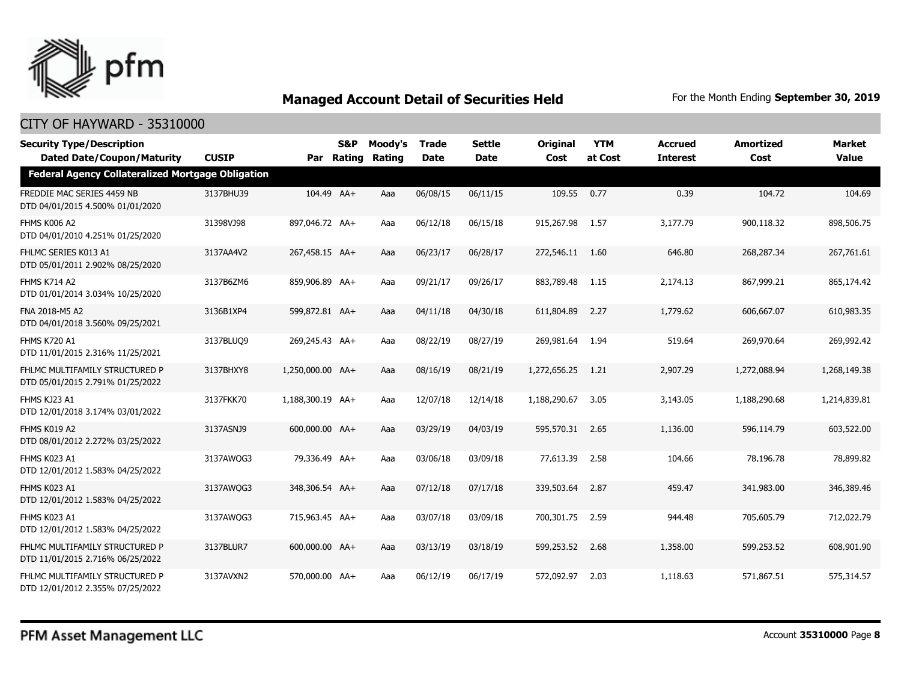

| <b>Security Type/Description</b><br><b>Dated Date/Coupon/Maturity</b> | <b>CUSIP</b> |                  | S&P<br>Par Rating | Moody's<br>Rating | <b>Trade</b><br><b>Date</b> | <b>Settle</b><br>Date | <b>Original</b><br>Cost | <b>YTM</b><br>at Cost | <b>Accrued</b><br><b>Interest</b> | <b>Amortized</b><br>Cost | <b>Market</b><br><b>Value</b> |
|-----------------------------------------------------------------------|--------------|------------------|-------------------|-------------------|-----------------------------|-----------------------|-------------------------|-----------------------|-----------------------------------|--------------------------|-------------------------------|
| <b>Federal Agency Collateralized Mortgage Obligation</b>              |              |                  |                   |                   |                             |                       |                         |                       |                                   |                          |                               |
| FREDDIE MAC SERIES 4459 NB<br>DTD 04/01/2015 4.500% 01/01/2020        | 3137BHU39    | 104.49 AA+       |                   | Aaa               | 06/08/15                    | 06/11/15              | 109.55                  | 0.77                  | 0.39                              | 104.72                   | 104.69                        |
| FHMS K006 A2<br>DTD 04/01/2010 4.251% 01/25/2020                      | 31398VJ98    | 897,046.72 AA+   |                   | Aaa               | 06/12/18                    | 06/15/18              | 915,267.98              | 1.57                  | 3,177.79                          | 900,118.32               | 898,506.75                    |
| FHLMC SERIES K013 A1<br>DTD 05/01/2011 2.902% 08/25/2020              | 3137AA4V2    | 267,458.15 AA+   |                   | Aaa               | 06/23/17                    | 06/28/17              | 272,546.11 1.60         |                       | 646.80                            | 268,287.34               | 267,761.61                    |
| <b>FHMS K714 A2</b><br>DTD 01/01/2014 3.034% 10/25/2020               | 3137B6ZM6    | 859,906.89 AA+   |                   | Aaa               | 09/21/17                    | 09/26/17              | 883,789.48              | 1.15                  | 2,174.13                          | 867,999.21               | 865,174.42                    |
| FNA 2018-M5 A2<br>DTD 04/01/2018 3.560% 09/25/2021                    | 3136B1XP4    | 599,872.81 AA+   |                   | Aaa               | 04/11/18                    | 04/30/18              | 611,804.89              | 2.27                  | 1,779.62                          | 606,667.07               | 610,983.35                    |
| <b>FHMS K720 A1</b><br>DTD 11/01/2015 2.316% 11/25/2021               | 3137BLUQ9    | 269,245.43 AA+   |                   | Aaa               | 08/22/19                    | 08/27/19              | 269,981.64              | 1.94                  | 519.64                            | 269,970.64               | 269,992.42                    |
| FHLMC MULTIFAMILY STRUCTURED P<br>DTD 05/01/2015 2.791% 01/25/2022    | 3137BHXY8    | 1,250,000.00 AA+ |                   | Aaa               | 08/16/19                    | 08/21/19              | 1,272,656.25            | 1.21                  | 2,907.29                          | 1,272,088.94             | 1,268,149.38                  |
| FHMS KJ23 A1<br>DTD 12/01/2018 3.174% 03/01/2022                      | 3137FKK70    | 1,188,300.19 AA+ |                   | Aaa               | 12/07/18                    | 12/14/18              | 1,188,290.67            | 3.05                  | 3,143.05                          | 1,188,290.68             | 1,214,839.81                  |
| FHMS K019 A2<br>DTD 08/01/2012 2.272% 03/25/2022                      | 3137ASNJ9    | 600,000.00 AA+   |                   | Aaa               | 03/29/19                    | 04/03/19              | 595,570.31 2.65         |                       | 1,136.00                          | 596,114.79               | 603,522.00                    |
| FHMS K023 A1<br>DTD 12/01/2012 1.583% 04/25/2022                      | 3137AWOG3    | 79,336.49 AA+    |                   | Aaa               | 03/06/18                    | 03/09/18              | 77,613.39               | 2.58                  | 104.66                            | 78,196,78                | 78,899.82                     |
| FHMS K023 A1<br>DTD 12/01/2012 1.583% 04/25/2022                      | 3137AWQG3    | 348,306.54 AA+   |                   | Aaa               | 07/12/18                    | 07/17/18              | 339,503.64              | 2.87                  | 459.47                            | 341,983.00               | 346,389.46                    |
| FHMS K023 A1<br>DTD 12/01/2012 1.583% 04/25/2022                      | 3137AWQG3    | 715,963.45 AA+   |                   | Aaa               | 03/07/18                    | 03/09/18              | 700,301.75              | 2.59                  | 944.48                            | 705,605.79               | 712,022.79                    |
| FHLMC MULTIFAMILY STRUCTURED P<br>DTD 11/01/2015 2.716% 06/25/2022    | 3137BLUR7    | 600,000.00 AA+   |                   | Aaa               | 03/13/19                    | 03/18/19              | 599,253.52              | 2.68                  | 1,358.00                          | 599,253.52               | 608,901.90                    |
| FHLMC MULTIFAMILY STRUCTURED P<br>DTD 12/01/2012 2.355% 07/25/2022    | 3137AVXN2    | 570,000.00 AA+   |                   | Aaa               | 06/12/19                    | 06/17/19              | 572,092.97              | 2.03                  | 1,118.63                          | 571,867.51               | 575,314.57                    |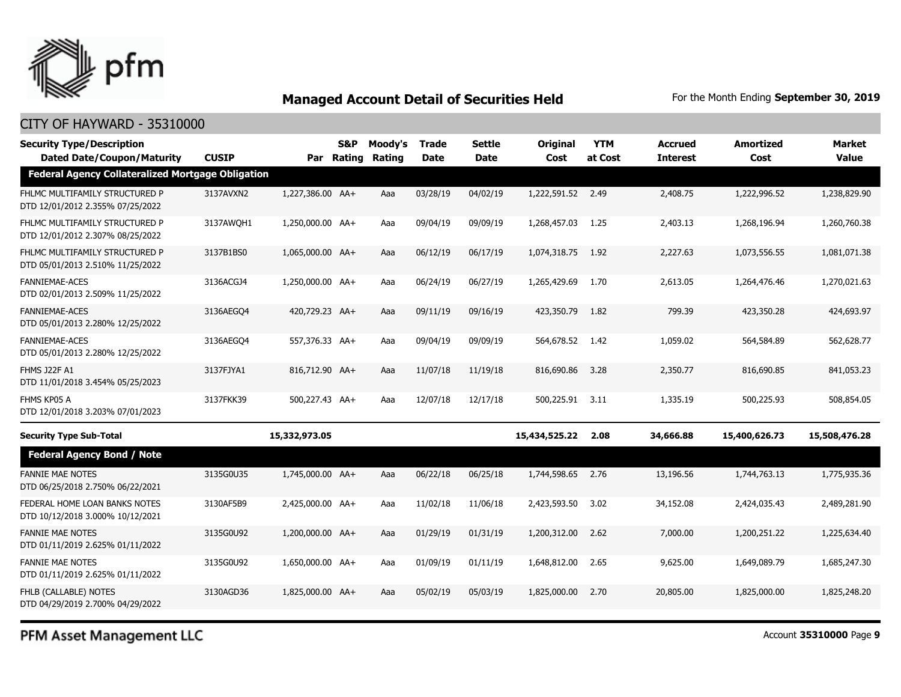

## CITY OF HAYWARD - 35310000

|                                                          |              | <b>S&amp;P</b> | Moody's                                                                                                                                                                                                                                                                   | <b>Trade</b>         | Settle      | <b>Original</b> | <b>YTM</b> | <b>Accrued</b>               | <b>Amortized</b> | Market<br><b>Value</b> |
|----------------------------------------------------------|--------------|----------------|---------------------------------------------------------------------------------------------------------------------------------------------------------------------------------------------------------------------------------------------------------------------------|----------------------|-------------|-----------------|------------|------------------------------|------------------|------------------------|
| <b>Federal Agency Collateralized Mortgage Obligation</b> |              |                |                                                                                                                                                                                                                                                                           |                      |             |                 |            |                              |                  |                        |
| 3137AVXN2                                                |              |                | Aaa                                                                                                                                                                                                                                                                       | 03/28/19             | 04/02/19    |                 |            | 2,408.75                     | 1,222,996.52     | 1,238,829.90           |
| 3137AWQH1                                                |              |                | Aaa                                                                                                                                                                                                                                                                       | 09/04/19             | 09/09/19    | 1,268,457.03    | 1.25       | 2,403.13                     | 1,268,196.94     | 1,260,760.38           |
| 3137B1BS0                                                |              |                | Aaa                                                                                                                                                                                                                                                                       | 06/12/19             | 06/17/19    | 1,074,318.75    | 1.92       | 2,227.63                     | 1,073,556.55     | 1,081,071.38           |
| 3136ACGJ4                                                |              |                | Aaa                                                                                                                                                                                                                                                                       | 06/24/19             | 06/27/19    | 1,265,429.69    | 1.70       | 2,613.05                     | 1,264,476.46     | 1,270,021.63           |
| 3136AEGO4                                                |              |                | Aaa                                                                                                                                                                                                                                                                       | 09/11/19             | 09/16/19    | 423,350.79      | 1.82       | 799.39                       | 423,350.28       | 424,693.97             |
| 3136AEGO4                                                |              |                | Aaa                                                                                                                                                                                                                                                                       | 09/04/19             | 09/09/19    | 564,678.52      | 1.42       | 1,059.02                     | 564,584.89       | 562,628.77             |
| 3137FJYA1                                                |              |                | Aaa                                                                                                                                                                                                                                                                       | 11/07/18             | 11/19/18    | 816,690.86      | 3.28       | 2,350,77                     | 816,690.85       | 841,053.23             |
| 3137FKK39                                                |              |                | Aaa                                                                                                                                                                                                                                                                       | 12/07/18             | 12/17/18    | 500,225.91      | 3.11       | 1,335.19                     | 500,225.93       | 508,854.05             |
|                                                          |              |                |                                                                                                                                                                                                                                                                           |                      |             | 15,434,525.22   | 2.08       | 34,666.88                    | 15,400,626.73    | 15,508,476.28          |
|                                                          |              |                |                                                                                                                                                                                                                                                                           |                      |             |                 |            |                              |                  |                        |
| 3135G0U35                                                |              |                | Aaa                                                                                                                                                                                                                                                                       | 06/22/18             | 06/25/18    | 1,744,598.65    | 2.76       | 13,196.56                    | 1,744,763.13     | 1,775,935,36           |
| 3130AF5B9                                                |              |                | Aaa                                                                                                                                                                                                                                                                       | 11/02/18             | 11/06/18    | 2,423,593.50    | 3.02       | 34,152.08                    | 2,424,035.43     | 2,489,281.90           |
| 3135G0U92                                                |              |                | Aaa                                                                                                                                                                                                                                                                       | 01/29/19             | 01/31/19    | 1,200,312.00    | 2.62       | 7,000.00                     | 1,200,251.22     | 1,225,634.40           |
| 3135G0U92                                                |              |                | Aaa                                                                                                                                                                                                                                                                       | 01/09/19             | 01/11/19    | 1,648,812.00    | 2.65       | 9,625,00                     | 1,649,089.79     | 1,685,247,30           |
| 3130AGD36                                                |              |                | Aaa                                                                                                                                                                                                                                                                       | 05/02/19             | 05/03/19    | 1,825,000.00    | 2.70       | 20,805.00                    | 1,825,000.00     | 1,825,248.20           |
|                                                          | <b>CUSIP</b> |                | 1,227,386.00 AA+<br>1,250,000.00 AA+<br>1,065,000.00 AA+<br>1,250,000.00 AA+<br>420,729.23 AA+<br>557,376.33 AA+<br>816,712.90 AA+<br>500,227.43 AA+<br>15,332,973.05<br>1,745,000.00 AA+<br>2,425,000.00 AA+<br>1,200,000.00 AA+<br>1,650,000.00 AA+<br>1,825,000.00 AA+ | Par Rating<br>Rating | <b>Date</b> | <b>Date</b>     | Cost       | at Cost<br>1,222,591.52 2.49 | <b>Interest</b>  | Cost                   |

PFM Asset Management LLC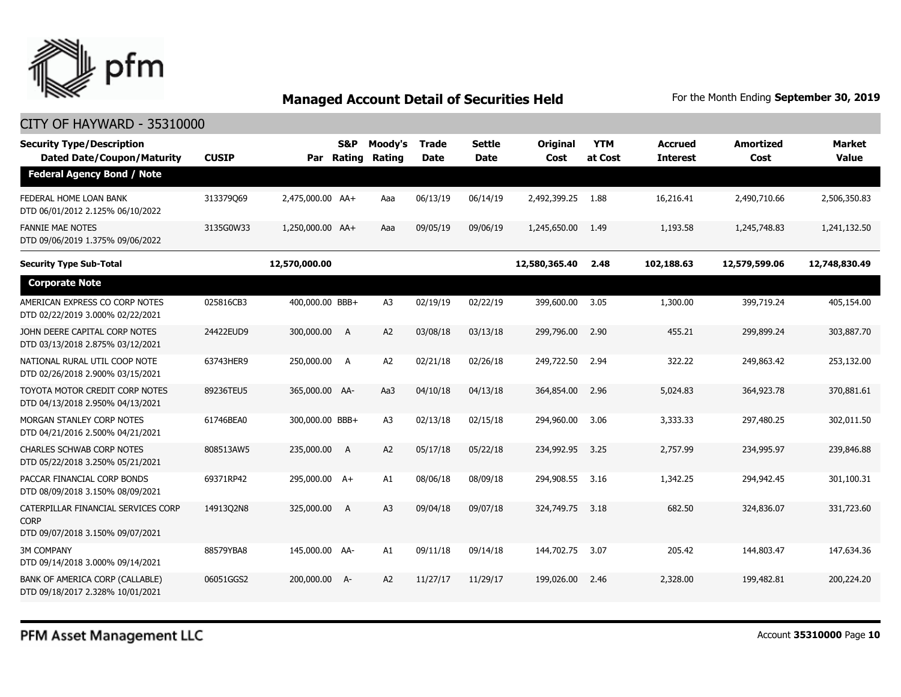

| <b>Security Type/Description</b><br><b>Dated Date/Coupon/Maturity</b>                  | <b>CUSIP</b> | Par              | <b>S&amp;P</b><br>Rating | Moody's<br>Rating | Trade<br><b>Date</b> | <b>Settle</b><br><b>Date</b> | Original<br>Cost | <b>YTM</b><br>at Cost | <b>Accrued</b><br><b>Interest</b> | <b>Amortized</b><br>Cost | <b>Market</b><br><b>Value</b> |
|----------------------------------------------------------------------------------------|--------------|------------------|--------------------------|-------------------|----------------------|------------------------------|------------------|-----------------------|-----------------------------------|--------------------------|-------------------------------|
| <b>Federal Agency Bond / Note</b>                                                      |              |                  |                          |                   |                      |                              |                  |                       |                                   |                          |                               |
| FEDERAL HOME LOAN BANK<br>DTD 06/01/2012 2.125% 06/10/2022                             | 313379069    | 2,475,000.00 AA+ |                          | Aaa               | 06/13/19             | 06/14/19                     | 2,492,399.25     | 1.88                  | 16,216.41                         | 2,490,710.66             | 2,506,350.83                  |
| <b>FANNIE MAE NOTES</b><br>DTD 09/06/2019 1.375% 09/06/2022                            | 3135G0W33    | 1,250,000.00 AA+ |                          | Aaa               | 09/05/19             | 09/06/19                     | 1,245,650.00     | 1.49                  | 1,193.58                          | 1,245,748.83             | 1,241,132.50                  |
| <b>Security Type Sub-Total</b>                                                         |              | 12,570,000.00    |                          |                   |                      |                              | 12,580,365.40    | 2.48                  | 102,188.63                        | 12,579,599.06            | 12,748,830.49                 |
| <b>Corporate Note</b>                                                                  |              |                  |                          |                   |                      |                              |                  |                       |                                   |                          |                               |
| AMERICAN EXPRESS CO CORP NOTES<br>DTD 02/22/2019 3.000% 02/22/2021                     | 025816CB3    | 400,000.00 BBB+  |                          | A <sub>3</sub>    | 02/19/19             | 02/22/19                     | 399,600.00       | 3.05                  | 1,300.00                          | 399,719.24               | 405,154.00                    |
| JOHN DEERE CAPITAL CORP NOTES<br>DTD 03/13/2018 2.875% 03/12/2021                      | 24422EUD9    | 300,000.00       | A                        | A2                | 03/08/18             | 03/13/18                     | 299,796.00       | 2.90                  | 455.21                            | 299,899.24               | 303,887.70                    |
| NATIONAL RURAL UTIL COOP NOTE<br>DTD 02/26/2018 2.900% 03/15/2021                      | 63743HER9    | 250,000.00       | <b>A</b>                 | A2                | 02/21/18             | 02/26/18                     | 249,722.50       | 2.94                  | 322.22                            | 249,863.42               | 253,132.00                    |
| TOYOTA MOTOR CREDIT CORP NOTES<br>DTD 04/13/2018 2.950% 04/13/2021                     | 89236TEU5    | 365,000.00 AA-   |                          | Aa3               | 04/10/18             | 04/13/18                     | 364,854.00       | 2.96                  | 5,024.83                          | 364,923.78               | 370,881.61                    |
| MORGAN STANLEY CORP NOTES<br>DTD 04/21/2016 2.500% 04/21/2021                          | 61746BEA0    | 300,000.00 BBB+  |                          | A <sub>3</sub>    | 02/13/18             | 02/15/18                     | 294,960.00       | 3.06                  | 3,333.33                          | 297,480.25               | 302,011.50                    |
| <b>CHARLES SCHWAB CORP NOTES</b><br>DTD 05/22/2018 3.250% 05/21/2021                   | 808513AW5    | 235,000.00       | A                        | A2                | 05/17/18             | 05/22/18                     | 234,992.95       | 3.25                  | 2,757.99                          | 234,995.97               | 239,846.88                    |
| PACCAR FINANCIAL CORP BONDS<br>DTD 08/09/2018 3.150% 08/09/2021                        | 69371RP42    | 295,000.00 A+    |                          | A1                | 08/06/18             | 08/09/18                     | 294,908.55       | 3.16                  | 1,342.25                          | 294,942.45               | 301,100.31                    |
| CATERPILLAR FINANCIAL SERVICES CORP<br><b>CORP</b><br>DTD 09/07/2018 3.150% 09/07/2021 | 14913Q2N8    | 325,000.00       | A                        | A <sub>3</sub>    | 09/04/18             | 09/07/18                     | 324,749.75       | 3.18                  | 682.50                            | 324,836.07               | 331,723.60                    |
| 3M COMPANY<br>DTD 09/14/2018 3.000% 09/14/2021                                         | 88579YBA8    | 145,000.00 AA-   |                          | A1                | 09/11/18             | 09/14/18                     | 144,702.75       | 3.07                  | 205.42                            | 144,803.47               | 147,634.36                    |
| BANK OF AMERICA CORP (CALLABLE)<br>DTD 09/18/2017 2.328% 10/01/2021                    | 06051GGS2    | 200,000.00       | $A-$                     | A2                | 11/27/17             | 11/29/17                     | 199,026,00       | 2.46                  | 2,328,00                          | 199,482.81               | 200,224.20                    |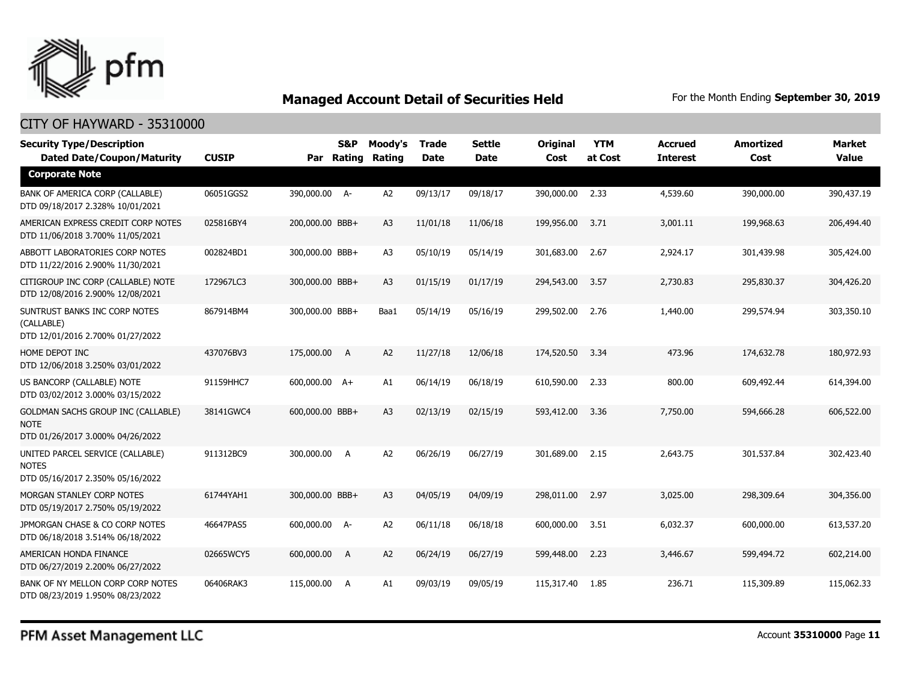

### CITY OF HAYWARD - 35310000

| <b>Security Type/Description</b><br><b>Dated Date/Coupon/Maturity</b>                        | <b>CUSIP</b> | <b>S&amp;P</b><br>Par Rating | Moody's<br>Rating | <b>Trade</b><br><b>Date</b> | <b>Settle</b><br><b>Date</b> | Original<br>Cost | <b>YTM</b><br>at Cost | <b>Accrued</b><br><b>Interest</b> | <b>Amortized</b><br>Cost | <b>Market</b><br><b>Value</b> |
|----------------------------------------------------------------------------------------------|--------------|------------------------------|-------------------|-----------------------------|------------------------------|------------------|-----------------------|-----------------------------------|--------------------------|-------------------------------|
| <b>Corporate Note</b>                                                                        |              |                              |                   |                             |                              |                  |                       |                                   |                          |                               |
| BANK OF AMERICA CORP (CALLABLE)<br>DTD 09/18/2017 2.328% 10/01/2021                          | 06051GGS2    | 390,000.00 A-                | A <sub>2</sub>    | 09/13/17                    | 09/18/17                     | 390,000.00       | 2.33                  | 4,539.60                          | 390,000.00               | 390,437.19                    |
| AMERICAN EXPRESS CREDIT CORP NOTES<br>DTD 11/06/2018 3.700% 11/05/2021                       | 025816BY4    | 200,000.00 BBB+              | A <sub>3</sub>    | 11/01/18                    | 11/06/18                     | 199,956.00       | 3.71                  | 3,001.11                          | 199,968.63               | 206,494.40                    |
| ABBOTT LABORATORIES CORP NOTES<br>DTD 11/22/2016 2.900% 11/30/2021                           | 002824BD1    | 300,000.00 BBB+              | A <sub>3</sub>    | 05/10/19                    | 05/14/19                     | 301,683.00       | 2.67                  | 2,924.17                          | 301,439.98               | 305,424.00                    |
| CITIGROUP INC CORP (CALLABLE) NOTE<br>DTD 12/08/2016 2.900% 12/08/2021                       | 172967LC3    | 300,000.00 BBB+              | A <sub>3</sub>    | 01/15/19                    | 01/17/19                     | 294,543.00       | 3.57                  | 2,730.83                          | 295,830.37               | 304,426.20                    |
| SUNTRUST BANKS INC CORP NOTES<br>(CALLABLE)<br>DTD 12/01/2016 2.700% 01/27/2022              | 867914BM4    | 300,000.00 BBB+              | Baa1              | 05/14/19                    | 05/16/19                     | 299,502.00       | 2.76                  | 1,440.00                          | 299,574.94               | 303,350.10                    |
| HOME DEPOT INC<br>DTD 12/06/2018 3.250% 03/01/2022                                           | 437076BV3    | 175,000.00 A                 | A2                | 11/27/18                    | 12/06/18                     | 174,520.50       | 3.34                  | 473.96                            | 174,632.78               | 180,972.93                    |
| US BANCORP (CALLABLE) NOTE<br>DTD 03/02/2012 3.000% 03/15/2022                               | 91159HHC7    | 600,000.00 A+                | A1                | 06/14/19                    | 06/18/19                     | 610,590.00       | 2.33                  | 800.00                            | 609,492.44               | 614,394.00                    |
| <b>GOLDMAN SACHS GROUP INC (CALLABLE)</b><br><b>NOTE</b><br>DTD 01/26/2017 3.000% 04/26/2022 | 38141GWC4    | 600,000.00 BBB+              | A <sub>3</sub>    | 02/13/19                    | 02/15/19                     | 593,412.00       | 3.36                  | 7,750.00                          | 594,666.28               | 606,522.00                    |
| UNITED PARCEL SERVICE (CALLABLE)<br><b>NOTES</b><br>DTD 05/16/2017 2.350% 05/16/2022         | 911312BC9    | 300,000.00 A                 | A <sub>2</sub>    | 06/26/19                    | 06/27/19                     | 301,689.00       | 2.15                  | 2,643.75                          | 301,537.84               | 302,423.40                    |
| MORGAN STANLEY CORP NOTES<br>DTD 05/19/2017 2.750% 05/19/2022                                | 61744YAH1    | 300,000.00 BBB+              | A <sub>3</sub>    | 04/05/19                    | 04/09/19                     | 298,011.00       | 2.97                  | 3,025.00                          | 298,309.64               | 304,356.00                    |
| JPMORGAN CHASE & CO CORP NOTES<br>DTD 06/18/2018 3.514% 06/18/2022                           | 46647PAS5    | 600,000.00 A-                | A <sub>2</sub>    | 06/11/18                    | 06/18/18                     | 600,000.00       | 3.51                  | 6,032.37                          | 600,000.00               | 613,537.20                    |
| AMERICAN HONDA FINANCE<br>DTD 06/27/2019 2.200% 06/27/2022                                   | 02665WCY5    | 600,000.00 A                 | A2                | 06/24/19                    | 06/27/19                     | 599,448.00       | 2.23                  | 3,446.67                          | 599,494.72               | 602,214.00                    |
| BANK OF NY MELLON CORP CORP NOTES<br>DTD 08/23/2019 1.950% 08/23/2022                        | 06406RAK3    | 115,000.00<br><b>A</b>       | A1                | 09/03/19                    | 09/05/19                     | 115,317.40       | 1.85                  | 236.71                            | 115,309.89               | 115,062.33                    |

PFM Asset Management LLC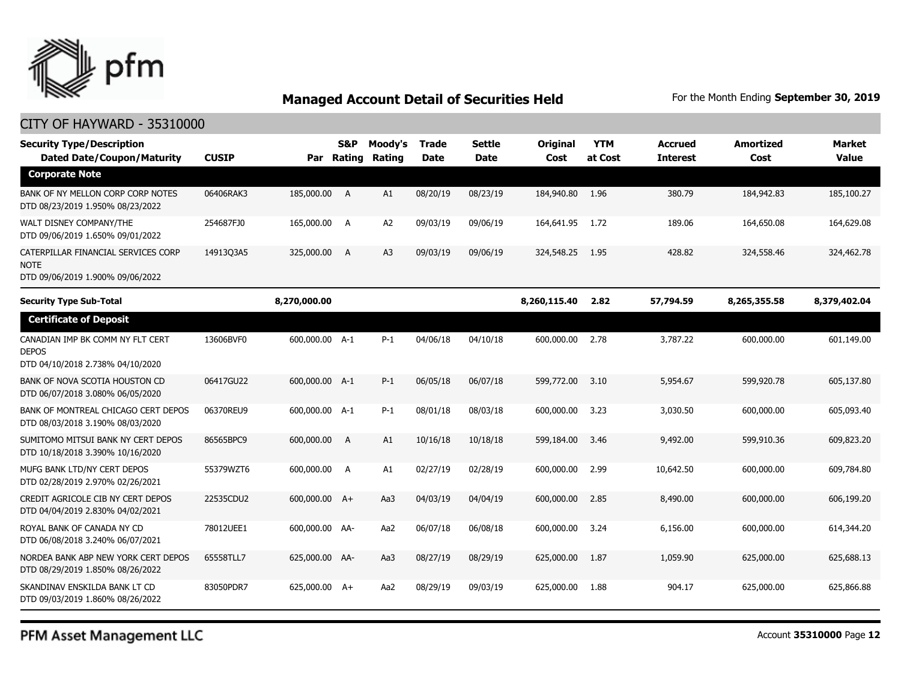

### CITY OF HAYWARD - 35310000

| <b>Security Type/Description</b><br><b>Dated Date/Coupon/Maturity</b>                  | <b>CUSIP</b> | Par            | S&P<br>Rating | Moody's<br>Rating | Trade<br><b>Date</b> | <b>Settle</b><br>Date | <b>Original</b><br>Cost | <b>YTM</b><br>at Cost | <b>Accrued</b><br><b>Interest</b> | <b>Amortized</b><br>Cost | <b>Market</b><br><b>Value</b> |
|----------------------------------------------------------------------------------------|--------------|----------------|---------------|-------------------|----------------------|-----------------------|-------------------------|-----------------------|-----------------------------------|--------------------------|-------------------------------|
| <b>Corporate Note</b>                                                                  |              |                |               |                   |                      |                       |                         |                       |                                   |                          |                               |
| BANK OF NY MELLON CORP CORP NOTES<br>DTD 08/23/2019 1.950% 08/23/2022                  | 06406RAK3    | 185,000.00 A   |               | A1                | 08/20/19             | 08/23/19              | 184,940.80              | 1.96                  | 380.79                            | 184,942.83               | 185,100.27                    |
| WALT DISNEY COMPANY/THE<br>DTD 09/06/2019 1.650% 09/01/2022                            | 254687FJ0    | 165,000.00 A   |               | A <sub>2</sub>    | 09/03/19             | 09/06/19              | 164,641.95              | 1.72                  | 189.06                            | 164,650.08               | 164,629.08                    |
| CATERPILLAR FINANCIAL SERVICES CORP<br><b>NOTE</b><br>DTD 09/06/2019 1.900% 09/06/2022 | 14913Q3A5    | 325,000.00     | A             | A <sub>3</sub>    | 09/03/19             | 09/06/19              | 324,548.25              | 1.95                  | 428.82                            | 324,558.46               | 324,462.78                    |
| Security Type Sub-Total                                                                |              | 8,270,000.00   |               |                   |                      |                       | 8,260,115.40            | 2.82                  | 57,794.59                         | 8,265,355.58             | 8,379,402.04                  |
| <b>Certificate of Deposit</b>                                                          |              |                |               |                   |                      |                       |                         |                       |                                   |                          |                               |
| CANADIAN IMP BK COMM NY FLT CERT<br><b>DEPOS</b><br>DTD 04/10/2018 2.738% 04/10/2020   | 13606BVF0    | 600,000.00 A-1 |               | $P-1$             | 04/06/18             | 04/10/18              | 600,000.00              | 2.78                  | 3,787.22                          | 600,000.00               | 601,149.00                    |
| BANK OF NOVA SCOTIA HOUSTON CD<br>DTD 06/07/2018 3.080% 06/05/2020                     | 06417GU22    | 600,000.00 A-1 |               | $P-1$             | 06/05/18             | 06/07/18              | 599,772.00              | 3.10                  | 5,954.67                          | 599,920.78               | 605,137.80                    |
| BANK OF MONTREAL CHICAGO CERT DEPOS<br>DTD 08/03/2018 3.190% 08/03/2020                | 06370REU9    | 600,000.00 A-1 |               | $P-1$             | 08/01/18             | 08/03/18              | 600,000.00              | 3.23                  | 3,030.50                          | 600,000.00               | 605,093.40                    |
| SUMITOMO MITSUI BANK NY CERT DEPOS<br>DTD 10/18/2018 3.390% 10/16/2020                 | 86565BPC9    | 600,000.00     | A             | A1                | 10/16/18             | 10/18/18              | 599,184.00              | 3.46                  | 9,492.00                          | 599,910.36               | 609,823.20                    |
| MUFG BANK LTD/NY CERT DEPOS<br>DTD 02/28/2019 2.970% 02/26/2021                        | 55379WZT6    | 600,000.00 A   |               | A1                | 02/27/19             | 02/28/19              | 600,000.00              | 2.99                  | 10,642.50                         | 600,000.00               | 609,784.80                    |
| CREDIT AGRICOLE CIB NY CERT DEPOS<br>DTD 04/04/2019 2.830% 04/02/2021                  | 22535CDU2    | 600,000.00 A+  |               | Aa3               | 04/03/19             | 04/04/19              | 600,000.00              | 2.85                  | 8,490.00                          | 600,000.00               | 606,199.20                    |
| ROYAL BANK OF CANADA NY CD<br>DTD 06/08/2018 3.240% 06/07/2021                         | 78012UEE1    | 600,000.00 AA- |               | Aa2               | 06/07/18             | 06/08/18              | 600,000.00              | 3.24                  | 6,156.00                          | 600,000.00               | 614,344.20                    |
| NORDEA BANK ABP NEW YORK CERT DEPOS<br>DTD 08/29/2019 1.850% 08/26/2022                | 65558TLL7    | 625,000.00 AA- |               | Aa3               | 08/27/19             | 08/29/19              | 625,000.00              | 1.87                  | 1,059.90                          | 625,000.00               | 625,688.13                    |
| SKANDINAV ENSKILDA BANK LT CD<br>DTD 09/03/2019 1.860% 08/26/2022                      | 83050PDR7    | 625,000.00 A+  |               | Aa2               | 08/29/19             | 09/03/19              | 625,000.00              | 1.88                  | 904.17                            | 625,000.00               | 625,866.88                    |

PFM Asset Management LLC

Account **35310000** Page **12**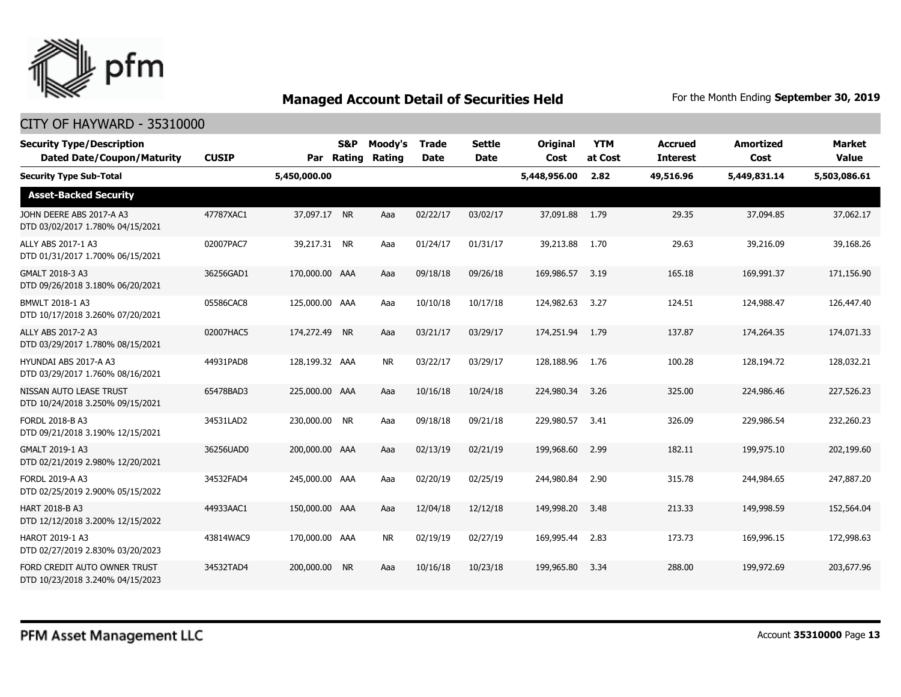

| <b>Security Type/Description</b><br><b>Dated Date/Coupon/Maturity</b> | <b>CUSIP</b> | Par            | S&P<br>Rating | Moody's<br>Rating | <b>Trade</b><br><b>Date</b> | <b>Settle</b><br><b>Date</b> | <b>Original</b><br>Cost | <b>YTM</b><br>at Cost | <b>Accrued</b><br><b>Interest</b> | <b>Amortized</b><br>Cost | <b>Market</b><br><b>Value</b> |
|-----------------------------------------------------------------------|--------------|----------------|---------------|-------------------|-----------------------------|------------------------------|-------------------------|-----------------------|-----------------------------------|--------------------------|-------------------------------|
| <b>Security Type Sub-Total</b>                                        |              | 5,450,000.00   |               |                   |                             |                              | 5,448,956.00            | 2.82                  | 49,516.96                         | 5,449,831.14             | 5,503,086.61                  |
| <b>Asset-Backed Security</b>                                          |              |                |               |                   |                             |                              |                         |                       |                                   |                          |                               |
| JOHN DEERE ABS 2017-A A3<br>DTD 03/02/2017 1.780% 04/15/2021          | 47787XAC1    | 37,097.17 NR   |               | Aaa               | 02/22/17                    | 03/02/17                     | 37,091.88               | 1.79                  | 29.35                             | 37,094.85                | 37,062.17                     |
| ALLY ABS 2017-1 A3<br>DTD 01/31/2017 1.700% 06/15/2021                | 02007PAC7    | 39,217.31 NR   |               | Aaa               | 01/24/17                    | 01/31/17                     | 39,213.88               | 1.70                  | 29.63                             | 39,216.09                | 39,168.26                     |
| GMALT 2018-3 A3<br>DTD 09/26/2018 3.180% 06/20/2021                   | 36256GAD1    | 170,000.00 AAA |               | Aaa               | 09/18/18                    | 09/26/18                     | 169,986.57              | 3.19                  | 165.18                            | 169,991.37               | 171,156.90                    |
| BMWLT 2018-1 A3<br>DTD 10/17/2018 3.260% 07/20/2021                   | 05586CAC8    | 125,000.00 AAA |               | Aaa               | 10/10/18                    | 10/17/18                     | 124,982,63              | 3.27                  | 124.51                            | 124,988,47               | 126,447.40                    |
| ALLY ABS 2017-2 A3<br>DTD 03/29/2017 1.780% 08/15/2021                | 02007HAC5    | 174,272.49 NR  |               | Aaa               | 03/21/17                    | 03/29/17                     | 174,251.94              | 1.79                  | 137.87                            | 174,264.35               | 174,071.33                    |
| HYUNDAI ABS 2017-A A3<br>DTD 03/29/2017 1.760% 08/16/2021             | 44931PAD8    | 128,199.32 AAA |               | <b>NR</b>         | 03/22/17                    | 03/29/17                     | 128,188.96              | 1.76                  | 100.28                            | 128,194.72               | 128,032.21                    |
| NISSAN AUTO LEASE TRUST<br>DTD 10/24/2018 3.250% 09/15/2021           | 65478BAD3    | 225,000.00 AAA |               | Aaa               | 10/16/18                    | 10/24/18                     | 224,980.34              | 3.26                  | 325.00                            | 224,986.46               | 227,526.23                    |
| FORDL 2018-B A3<br>DTD 09/21/2018 3.190% 12/15/2021                   | 34531LAD2    | 230,000.00 NR  |               | Aaa               | 09/18/18                    | 09/21/18                     | 229,980.57              | 3.41                  | 326.09                            | 229,986.54               | 232,260.23                    |
| GMALT 2019-1 A3<br>DTD 02/21/2019 2.980% 12/20/2021                   | 36256UAD0    | 200,000.00 AAA |               | Aaa               | 02/13/19                    | 02/21/19                     | 199,968.60              | 2.99                  | 182.11                            | 199,975.10               | 202,199.60                    |
| FORDL 2019-A A3<br>DTD 02/25/2019 2.900% 05/15/2022                   | 34532FAD4    | 245,000.00 AAA |               | Aaa               | 02/20/19                    | 02/25/19                     | 244,980.84              | 2.90                  | 315.78                            | 244,984.65               | 247,887.20                    |
| <b>HART 2018-B A3</b><br>DTD 12/12/2018 3.200% 12/15/2022             | 44933AAC1    | 150,000.00 AAA |               | Aaa               | 12/04/18                    | 12/12/18                     | 149,998.20              | 3.48                  | 213.33                            | 149,998.59               | 152,564.04                    |
| HAROT 2019-1 A3<br>DTD 02/27/2019 2.830% 03/20/2023                   | 43814WAC9    | 170,000.00 AAA |               | <b>NR</b>         | 02/19/19                    | 02/27/19                     | 169,995.44              | 2.83                  | 173.73                            | 169,996.15               | 172,998.63                    |
| FORD CREDIT AUTO OWNER TRUST<br>DTD 10/23/2018 3.240% 04/15/2023      | 34532TAD4    | 200,000.00     | <b>NR</b>     | Aaa               | 10/16/18                    | 10/23/18                     | 199,965.80              | 3.34                  | 288.00                            | 199,972.69               | 203,677.96                    |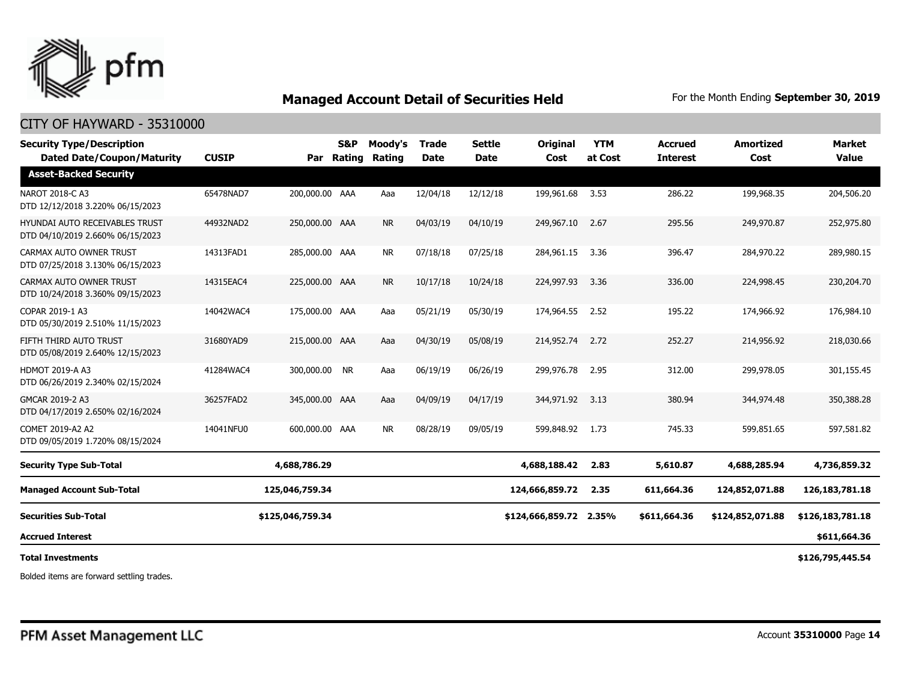

### CITY OF HAYWARD - 35310000

| <b>Security Type/Description</b><br><b>Dated Date/Coupon/Maturity</b> | <b>CUSIP</b> | Par              | <b>S&amp;P</b><br>Rating | Moody's<br>Rating | <b>Trade</b><br><b>Date</b> | <b>Settle</b><br><b>Date</b> | Original<br>Cost | <b>YTM</b><br>at Cost | <b>Accrued</b><br><b>Interest</b> | <b>Amortized</b><br>Cost | <b>Market</b><br><b>Value</b> |
|-----------------------------------------------------------------------|--------------|------------------|--------------------------|-------------------|-----------------------------|------------------------------|------------------|-----------------------|-----------------------------------|--------------------------|-------------------------------|
| <b>Asset-Backed Security</b>                                          |              |                  |                          |                   |                             |                              |                  |                       |                                   |                          |                               |
| NAROT 2018-C A3<br>DTD 12/12/2018 3.220% 06/15/2023                   | 65478NAD7    | 200,000.00 AAA   |                          | Aaa               | 12/04/18                    | 12/12/18                     | 199,961.68       | 3.53                  | 286.22                            | 199,968.35               | 204,506.20                    |
| HYUNDAI AUTO RECEIVABLES TRUST<br>DTD 04/10/2019 2.660% 06/15/2023    | 44932NAD2    | 250,000.00 AAA   |                          | <b>NR</b>         | 04/03/19                    | 04/10/19                     | 249,967.10       | 2.67                  | 295.56                            | 249,970.87               | 252,975.80                    |
| CARMAX AUTO OWNER TRUST<br>DTD 07/25/2018 3.130% 06/15/2023           | 14313FAD1    | 285,000.00 AAA   |                          | <b>NR</b>         | 07/18/18                    | 07/25/18                     | 284,961.15       | 3.36                  | 396.47                            | 284,970.22               | 289,980.15                    |
| CARMAX AUTO OWNER TRUST<br>DTD 10/24/2018 3.360% 09/15/2023           | 14315EAC4    | 225,000.00 AAA   |                          | <b>NR</b>         | 10/17/18                    | 10/24/18                     | 224,997.93       | 3.36                  | 336.00                            | 224,998.45               | 230,204.70                    |
| COPAR 2019-1 A3<br>DTD 05/30/2019 2.510% 11/15/2023                   | 14042WAC4    | 175,000.00 AAA   |                          | Aaa               | 05/21/19                    | 05/30/19                     | 174,964.55       | 2.52                  | 195.22                            | 174,966.92               | 176,984.10                    |
| FIFTH THIRD AUTO TRUST<br>DTD 05/08/2019 2.640% 12/15/2023            | 31680YAD9    | 215,000.00 AAA   |                          | Aaa               | 04/30/19                    | 05/08/19                     | 214,952.74       | 2.72                  | 252.27                            | 214,956.92               | 218,030.66                    |
| <b>HDMOT 2019-A A3</b><br>DTD 06/26/2019 2.340% 02/15/2024            | 41284WAC4    | 300,000.00 NR    |                          | Aaa               | 06/19/19                    | 06/26/19                     | 299,976.78       | 2.95                  | 312.00                            | 299,978.05               | 301,155.45                    |
| GMCAR 2019-2 A3<br>DTD 04/17/2019 2.650% 02/16/2024                   | 36257FAD2    | 345,000.00 AAA   |                          | Aaa               | 04/09/19                    | 04/17/19                     | 344,971.92       | 3.13                  | 380.94                            | 344,974.48               | 350,388.28                    |
| COMET 2019-A2 A2<br>DTD 09/05/2019 1.720% 08/15/2024                  | 14041NFU0    | 600,000.00 AAA   |                          | <b>NR</b>         | 08/28/19                    | 09/05/19                     | 599,848.92       | 1.73                  | 745.33                            | 599,851.65               | 597,581.82                    |
| <b>Security Type Sub-Total</b>                                        |              | 4,688,786.29     |                          |                   |                             |                              | 4,688,188.42     | 2.83                  | 5,610.87                          | 4,688,285.94             | 4,736,859.32                  |
| <b>Managed Account Sub-Total</b>                                      |              | 125,046,759.34   |                          |                   |                             |                              | 124,666,859.72   | 2.35                  | 611,664.36                        | 124,852,071.88           | 126, 183, 781. 18             |
| <b>Securities Sub-Total</b>                                           |              | \$125,046,759.34 |                          |                   |                             |                              | \$124,666,859.72 | 2.35%                 | \$611,664.36                      | \$124,852,071.88         | \$126,183,781.18              |
| <b>Accrued Interest</b>                                               |              |                  |                          |                   |                             |                              |                  |                       |                                   |                          | \$611,664.36                  |
| <b>Total Investments</b>                                              |              |                  |                          |                   |                             |                              |                  |                       |                                   |                          | \$126,795,445.54              |

Bolded items are forward settling trades.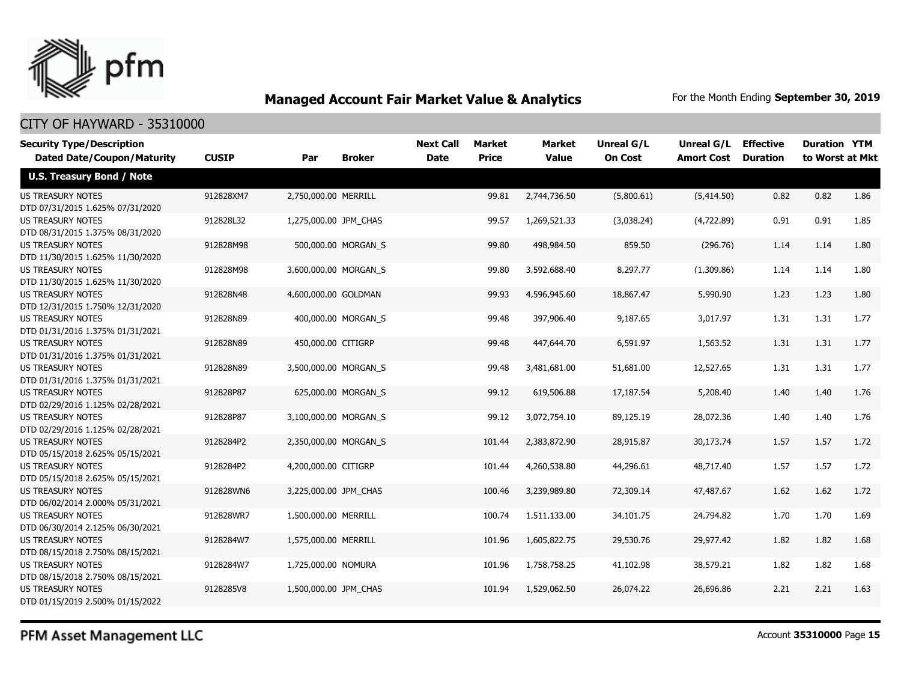

### CITY OF HAYWARD - 35310000

| <b>Security Type/Description</b>  |              |                       |                     | <b>Next Call</b> | Market       | <b>Market</b> | <b>Unreal G/L</b> | Unreal G/L        | <b>Effective</b> | <b>Duration YTM</b> |      |
|-----------------------------------|--------------|-----------------------|---------------------|------------------|--------------|---------------|-------------------|-------------------|------------------|---------------------|------|
| <b>Dated Date/Coupon/Maturity</b> | <b>CUSIP</b> | Par                   | <b>Broker</b>       | <b>Date</b>      | <b>Price</b> | <b>Value</b>  | <b>On Cost</b>    | <b>Amort Cost</b> | <b>Duration</b>  | to Worst at Mkt     |      |
| <b>U.S. Treasury Bond / Note</b>  |              |                       |                     |                  |              |               |                   |                   |                  |                     |      |
| <b>US TREASURY NOTES</b>          | 912828XM7    | 2,750,000.00 MERRILL  |                     |                  | 99.81        | 2,744,736.50  | (5,800.61)        | (5,414.50)        | 0.82             | 0.82                | 1.86 |
| DTD 07/31/2015 1.625% 07/31/2020  |              |                       |                     |                  |              |               |                   |                   |                  |                     |      |
| <b>US TREASURY NOTES</b>          | 912828L32    | 1,275,000.00 JPM_CHAS |                     |                  | 99.57        | 1,269,521.33  | (3,038.24)        | (4,722.89)        | 0.91             | 0.91                | 1.85 |
| DTD 08/31/2015 1.375% 08/31/2020  |              |                       |                     |                  |              |               |                   |                   |                  |                     |      |
| <b>US TREASURY NOTES</b>          | 912828M98    |                       | 500,000.00 MORGAN_S |                  | 99.80        | 498,984.50    | 859.50            | (296.76)          | 1.14             | 1.14                | 1.80 |
| DTD 11/30/2015 1.625% 11/30/2020  |              |                       |                     |                  |              |               |                   |                   |                  |                     |      |
| <b>US TREASURY NOTES</b>          | 912828M98    | 3,600,000.00 MORGAN S |                     |                  | 99.80        | 3,592,688.40  | 8,297.77          | (1,309.86)        | 1.14             | 1.14                | 1.80 |
| DTD 11/30/2015 1.625% 11/30/2020  |              |                       |                     |                  |              |               |                   |                   |                  |                     |      |
| <b>US TREASURY NOTES</b>          | 912828N48    | 4,600,000.00 GOLDMAN  |                     |                  | 99.93        | 4,596,945.60  | 18,867.47         | 5,990.90          | 1.23             | 1.23                | 1.80 |
| DTD 12/31/2015 1.750% 12/31/2020  |              |                       |                     |                  |              |               |                   |                   |                  |                     |      |
| <b>US TREASURY NOTES</b>          | 912828N89    |                       | 400,000.00 MORGAN S |                  | 99.48        | 397,906.40    | 9,187.65          | 3,017.97          | 1.31             | 1.31                | 1.77 |
| DTD 01/31/2016 1.375% 01/31/2021  |              |                       |                     |                  |              |               |                   |                   |                  |                     |      |
| <b>US TREASURY NOTES</b>          | 912828N89    | 450,000.00 CITIGRP    |                     |                  | 99.48        | 447,644.70    | 6,591.97          | 1,563.52          | 1.31             | 1.31                | 1.77 |
| DTD 01/31/2016 1.375% 01/31/2021  |              |                       |                     |                  |              |               |                   |                   |                  |                     |      |
| <b>US TREASURY NOTES</b>          | 912828N89    | 3,500,000.00 MORGAN_S |                     |                  | 99.48        | 3,481,681.00  | 51,681.00         | 12,527.65         | 1.31             | 1.31                | 1.77 |
| DTD 01/31/2016 1.375% 01/31/2021  |              |                       |                     |                  |              |               |                   |                   |                  |                     |      |
| <b>US TREASURY NOTES</b>          | 912828P87    |                       | 625,000.00 MORGAN_S |                  | 99.12        | 619,506.88    | 17,187.54         | 5,208.40          | 1.40             | 1.40                | 1.76 |
| DTD 02/29/2016 1.125% 02/28/2021  |              |                       |                     |                  |              |               |                   |                   |                  |                     |      |
| <b>US TREASURY NOTES</b>          | 912828P87    | 3,100,000.00 MORGAN_S |                     |                  | 99.12        | 3,072,754.10  | 89,125.19         | 28,072.36         | 1.40             | 1.40                | 1.76 |
| DTD 02/29/2016 1.125% 02/28/2021  |              |                       |                     |                  |              |               |                   |                   |                  |                     |      |
| <b>US TREASURY NOTES</b>          | 9128284P2    | 2,350,000.00 MORGAN S |                     |                  | 101.44       | 2,383,872.90  | 28,915.87         | 30,173.74         | 1.57             | 1.57                | 1.72 |
| DTD 05/15/2018 2.625% 05/15/2021  |              |                       |                     |                  |              |               |                   |                   |                  |                     |      |
| <b>US TREASURY NOTES</b>          | 9128284P2    | 4,200,000.00 CITIGRP  |                     |                  | 101.44       | 4,260,538.80  | 44,296.61         | 48,717.40         | 1.57             | 1.57                | 1.72 |
| DTD 05/15/2018 2.625% 05/15/2021  |              |                       |                     |                  |              |               |                   |                   |                  |                     |      |
| <b>US TREASURY NOTES</b>          | 912828WN6    | 3,225,000.00 JPM CHAS |                     |                  | 100.46       | 3,239,989.80  | 72,309.14         | 47,487.67         | 1.62             | 1.62                | 1.72 |
| DTD 06/02/2014 2.000% 05/31/2021  |              |                       |                     |                  |              |               |                   |                   |                  |                     |      |
| <b>US TREASURY NOTES</b>          | 912828WR7    | 1,500,000.00 MERRILL  |                     |                  | 100.74       | 1,511,133.00  | 34,101.75         | 24,794.82         | 1.70             | 1.70                | 1.69 |
| DTD 06/30/2014 2.125% 06/30/2021  |              |                       |                     |                  |              |               |                   |                   |                  |                     |      |
| <b>US TREASURY NOTES</b>          | 9128284W7    | 1,575,000.00 MERRILL  |                     |                  | 101.96       | 1,605,822.75  | 29,530.76         | 29,977.42         | 1.82             | 1.82                | 1.68 |
| DTD 08/15/2018 2.750% 08/15/2021  |              |                       |                     |                  |              |               |                   |                   |                  |                     |      |
| <b>US TREASURY NOTES</b>          | 9128284W7    | 1,725,000.00 NOMURA   |                     |                  | 101.96       | 1,758,758.25  | 41,102.98         | 38,579.21         | 1.82             | 1.82                | 1.68 |
| DTD 08/15/2018 2.750% 08/15/2021  |              |                       |                     |                  |              |               |                   |                   |                  |                     |      |
| <b>US TREASURY NOTES</b>          | 9128285V8    | 1,500,000.00 JPM CHAS |                     |                  | 101.94       | 1,529,062.50  | 26,074.22         | 26,696.86         | 2.21             | 2.21                | 1.63 |
| DTD 01/15/2019 2.500% 01/15/2022  |              |                       |                     |                  |              |               |                   |                   |                  |                     |      |

PFM Asset Management LLC

Account **35310000** Page **15**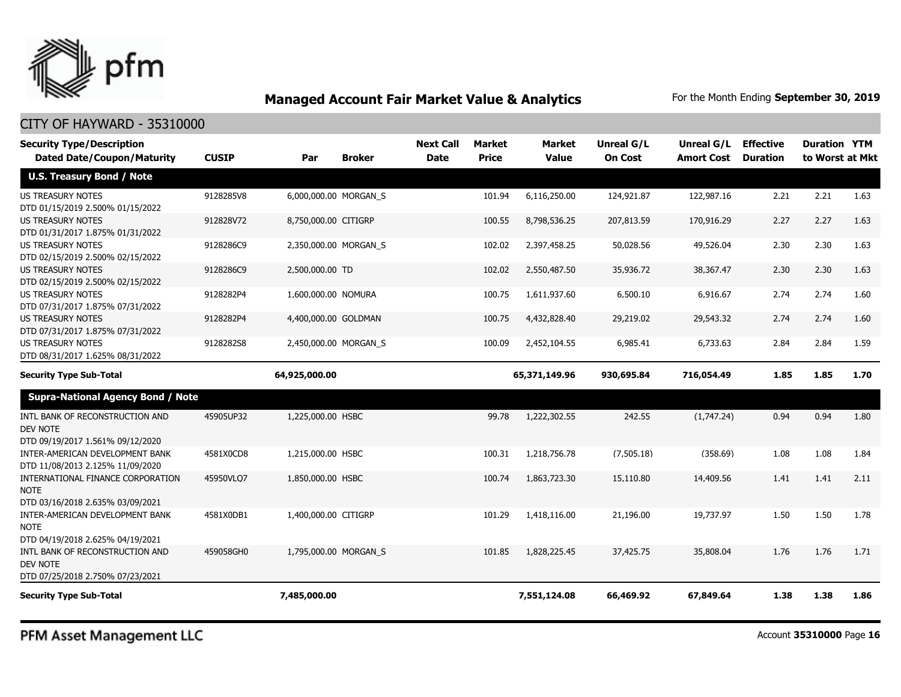

### CITY OF HAYWARD - 35310000

| <b>Security Type/Description</b><br><b>Dated Date/Coupon/Maturity</b>                                                      | <b>CUSIP</b> | Par                   | <b>Broker</b> | <b>Next Call</b><br><b>Date</b> | <b>Market</b><br><b>Price</b> | <b>Market</b><br><b>Value</b> | Unreal G/L<br><b>On Cost</b> | Unreal G/L<br><b>Amort Cost</b> | <b>Effective</b><br><b>Duration</b> | <b>Duration YTM</b><br>to Worst at Mkt |      |
|----------------------------------------------------------------------------------------------------------------------------|--------------|-----------------------|---------------|---------------------------------|-------------------------------|-------------------------------|------------------------------|---------------------------------|-------------------------------------|----------------------------------------|------|
| <b>U.S. Treasury Bond / Note</b>                                                                                           |              |                       |               |                                 |                               |                               |                              |                                 |                                     |                                        |      |
| <b>US TREASURY NOTES</b><br>DTD 01/15/2019 2.500% 01/15/2022                                                               | 9128285V8    | 6,000,000.00 MORGAN_S |               |                                 | 101.94                        | 6,116,250.00                  | 124,921.87                   | 122,987.16                      | 2.21                                | 2.21                                   | 1.63 |
| US TREASURY NOTES<br>DTD 01/31/2017 1.875% 01/31/2022                                                                      | 912828V72    | 8,750,000.00 CITIGRP  |               |                                 | 100.55                        | 8,798,536.25                  | 207,813.59                   | 170,916.29                      | 2.27                                | 2.27                                   | 1.63 |
| <b>US TREASURY NOTES</b><br>DTD 02/15/2019 2.500% 02/15/2022                                                               | 9128286C9    | 2,350,000.00 MORGAN_S |               |                                 | 102.02                        | 2,397,458.25                  | 50,028.56                    | 49,526.04                       | 2.30                                | 2.30                                   | 1.63 |
| <b>US TREASURY NOTES</b><br>DTD 02/15/2019 2.500% 02/15/2022                                                               | 9128286C9    | 2,500,000.00 TD       |               |                                 | 102.02                        | 2,550,487.50                  | 35,936.72                    | 38,367.47                       | 2.30                                | 2.30                                   | 1.63 |
| <b>US TREASURY NOTES</b><br>DTD 07/31/2017 1.875% 07/31/2022                                                               | 9128282P4    | 1,600,000.00 NOMURA   |               |                                 | 100.75                        | 1,611,937.60                  | 6,500.10                     | 6,916.67                        | 2.74                                | 2.74                                   | 1.60 |
| <b>US TREASURY NOTES</b><br>DTD 07/31/2017 1.875% 07/31/2022                                                               | 9128282P4    | 4,400,000.00 GOLDMAN  |               |                                 | 100.75                        | 4,432,828.40                  | 29,219.02                    | 29,543.32                       | 2.74                                | 2.74                                   | 1.60 |
| <b>US TREASURY NOTES</b><br>DTD 08/31/2017 1.625% 08/31/2022                                                               | 9128282S8    | 2,450,000.00 MORGAN S |               |                                 | 100.09                        | 2,452,104.55                  | 6,985.41                     | 6,733.63                        | 2.84                                | 2.84                                   | 1.59 |
| <b>Security Type Sub-Total</b>                                                                                             |              | 64,925,000.00         |               |                                 |                               | 65,371,149.96                 | 930,695.84                   | 716,054.49                      | 1.85                                | 1.85                                   | 1.70 |
| <b>Supra-National Agency Bond / Note</b>                                                                                   |              |                       |               |                                 |                               |                               |                              |                                 |                                     |                                        |      |
| INTL BANK OF RECONSTRUCTION AND<br><b>DEV NOTE</b><br>DTD 09/19/2017 1.561% 09/12/2020                                     | 45905UP32    | 1,225,000.00 HSBC     |               |                                 | 99.78                         | 1,222,302.55                  | 242.55                       | (1,747.24)                      | 0.94                                | 0.94                                   | 1.80 |
| INTER-AMERICAN DEVELOPMENT BANK<br>DTD 11/08/2013 2.125% 11/09/2020                                                        | 4581X0CD8    | 1,215,000.00 HSBC     |               |                                 | 100.31                        | 1,218,756,78                  | (7,505.18)                   | (358.69)                        | 1.08                                | 1.08                                   | 1.84 |
| INTERNATIONAL FINANCE CORPORATION<br><b>NOTE</b><br>DTD 03/16/2018 2.635% 03/09/2021                                       | 45950VLQ7    | 1,850,000.00 HSBC     |               |                                 | 100.74                        | 1,863,723.30                  | 15,110.80                    | 14,409.56                       | 1.41                                | 1.41                                   | 2.11 |
| INTER-AMERICAN DEVELOPMENT BANK<br><b>NOTE</b>                                                                             | 4581X0DB1    | 1,400,000.00 CITIGRP  |               |                                 | 101.29                        | 1,418,116.00                  | 21,196.00                    | 19,737.97                       | 1.50                                | 1.50                                   | 1.78 |
| DTD 04/19/2018 2.625% 04/19/2021<br>INTL BANK OF RECONSTRUCTION AND<br><b>DEV NOTE</b><br>DTD 07/25/2018 2.750% 07/23/2021 | 459058GH0    | 1,795,000.00 MORGAN_S |               |                                 | 101.85                        | 1,828,225.45                  | 37,425.75                    | 35,808.04                       | 1.76                                | 1.76                                   | 1.71 |
| <b>Security Type Sub-Total</b>                                                                                             |              | 7,485,000.00          |               |                                 |                               | 7,551,124.08                  | 66,469.92                    | 67,849.64                       | 1.38                                | 1.38                                   | 1.86 |

PFM Asset Management LLC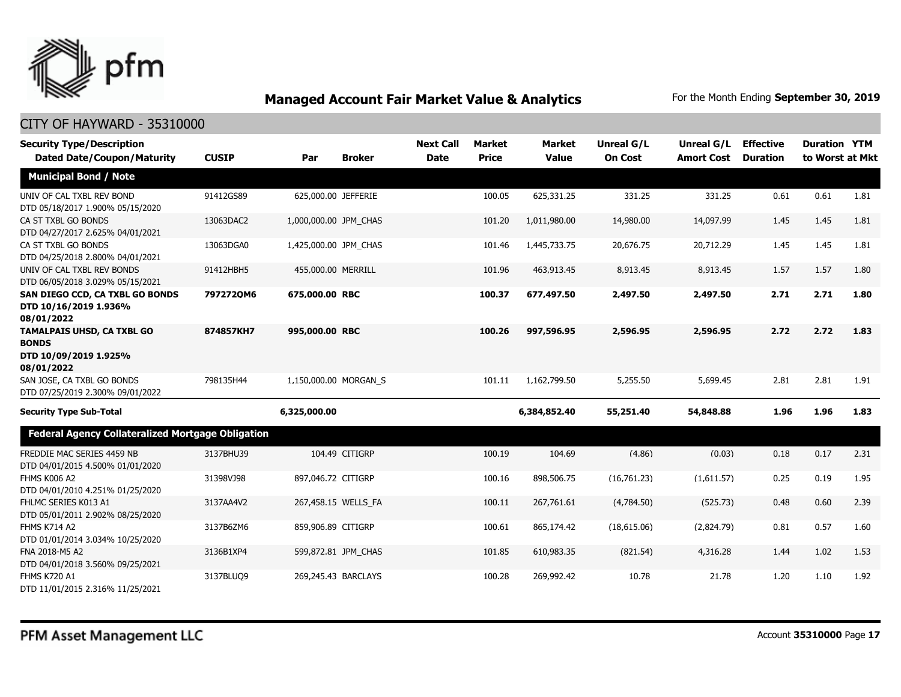

| <b>Security Type/Description</b><br><b>Dated Date/Coupon/Maturity</b>                    | <b>CUSIP</b> | Par                   | <b>Broker</b>       | <b>Next Call</b><br><b>Date</b> | <b>Market</b><br><b>Price</b> | <b>Market</b><br><b>Value</b> | <b>Unreal G/L</b><br><b>On Cost</b> | Unreal G/L<br><b>Amort Cost</b> | <b>Effective</b><br><b>Duration</b> | <b>Duration YTM</b><br>to Worst at Mkt |      |
|------------------------------------------------------------------------------------------|--------------|-----------------------|---------------------|---------------------------------|-------------------------------|-------------------------------|-------------------------------------|---------------------------------|-------------------------------------|----------------------------------------|------|
| <b>Municipal Bond / Note</b>                                                             |              |                       |                     |                                 |                               |                               |                                     |                                 |                                     |                                        |      |
| UNIV OF CAL TXBL REV BOND<br>DTD 05/18/2017 1.900% 05/15/2020                            | 91412GS89    | 625,000.00 JEFFERIE   |                     |                                 | 100.05                        | 625,331.25                    | 331.25                              | 331.25                          | 0.61                                | 0.61                                   | 1.81 |
| CA ST TXBL GO BONDS<br>DTD 04/27/2017 2.625% 04/01/2021                                  | 13063DAC2    | 1,000,000.00 JPM_CHAS |                     |                                 | 101.20                        | 1,011,980.00                  | 14,980.00                           | 14,097.99                       | 1.45                                | 1.45                                   | 1.81 |
| CA ST TXBL GO BONDS<br>DTD 04/25/2018 2.800% 04/01/2021                                  | 13063DGA0    | 1,425,000.00 JPM_CHAS |                     |                                 | 101.46                        | 1,445,733.75                  | 20,676.75                           | 20,712.29                       | 1.45                                | 1.45                                   | 1.81 |
| UNIV OF CAL TXBL REV BONDS<br>DTD 06/05/2018 3.029% 05/15/2021                           | 91412HBH5    | 455,000.00 MERRILL    |                     |                                 | 101.96                        | 463,913.45                    | 8,913.45                            | 8,913.45                        | 1.57                                | 1.57                                   | 1.80 |
| SAN DIEGO CCD, CA TXBL GO BONDS<br>DTD 10/16/2019 1.936%<br>08/01/2022                   | 7972720M6    | 675,000.00 RBC        |                     |                                 | 100.37                        | 677,497.50                    | 2,497.50                            | 2,497.50                        | 2.71                                | 2.71                                   | 1.80 |
| <b>TAMALPAIS UHSD, CA TXBL GO</b><br><b>BONDS</b><br>DTD 10/09/2019 1.925%<br>08/01/2022 | 874857KH7    | 995,000.00 RBC        |                     |                                 | 100.26                        | 997,596.95                    | 2,596.95                            | 2,596.95                        | 2.72                                | 2.72                                   | 1.83 |
| SAN JOSE, CA TXBL GO BONDS<br>DTD 07/25/2019 2.300% 09/01/2022                           | 798135H44    | 1,150,000.00 MORGAN S |                     |                                 | 101.11                        | 1,162,799.50                  | 5,255.50                            | 5,699.45                        | 2.81                                | 2.81                                   | 1.91 |
| <b>Security Type Sub-Total</b>                                                           |              | 6,325,000.00          |                     |                                 |                               | 6,384,852.40                  | 55,251.40                           | 54,848.88                       | 1.96                                | 1.96                                   | 1.83 |
| Federal Agency Collateralized Mortgage Obligation                                        |              |                       |                     |                                 |                               |                               |                                     |                                 |                                     |                                        |      |
| FREDDIE MAC SERIES 4459 NB<br>DTD 04/01/2015 4.500% 01/01/2020                           | 3137BHU39    |                       | 104.49 CITIGRP      |                                 | 100.19                        | 104.69                        | (4.86)                              | (0.03)                          | 0.18                                | 0.17                                   | 2.31 |
| FHMS K006 A2<br>DTD 04/01/2010 4.251% 01/25/2020                                         | 31398VJ98    | 897,046.72 CITIGRP    |                     |                                 | 100.16                        | 898,506.75                    | (16,761.23)                         | (1,611.57)                      | 0.25                                | 0.19                                   | 1.95 |
| FHLMC SERIES K013 A1<br>DTD 05/01/2011 2.902% 08/25/2020                                 | 3137AA4V2    |                       | 267,458.15 WELLS_FA |                                 | 100.11                        | 267,761.61                    | (4,784.50)                          | (525.73)                        | 0.48                                | 0.60                                   | 2.39 |
| <b>FHMS K714 A2</b><br>DTD 01/01/2014 3.034% 10/25/2020                                  | 3137B6ZM6    | 859,906.89 CITIGRP    |                     |                                 | 100.61                        | 865,174.42                    | (18,615.06)                         | (2,824.79)                      | 0.81                                | 0.57                                   | 1.60 |
| FNA 2018-M5 A2<br>DTD 04/01/2018 3.560% 09/25/2021                                       | 3136B1XP4    |                       | 599,872.81 JPM_CHAS |                                 | 101.85                        | 610,983.35                    | (821.54)                            | 4,316.28                        | 1.44                                | 1.02                                   | 1.53 |
| <b>FHMS K720 A1</b><br>DTD 11/01/2015 2.316% 11/25/2021                                  | 3137BLUQ9    | 269,245.43 BARCLAYS   |                     |                                 | 100.28                        | 269,992.42                    | 10.78                               | 21.78                           | 1.20                                | 1.10                                   | 1.92 |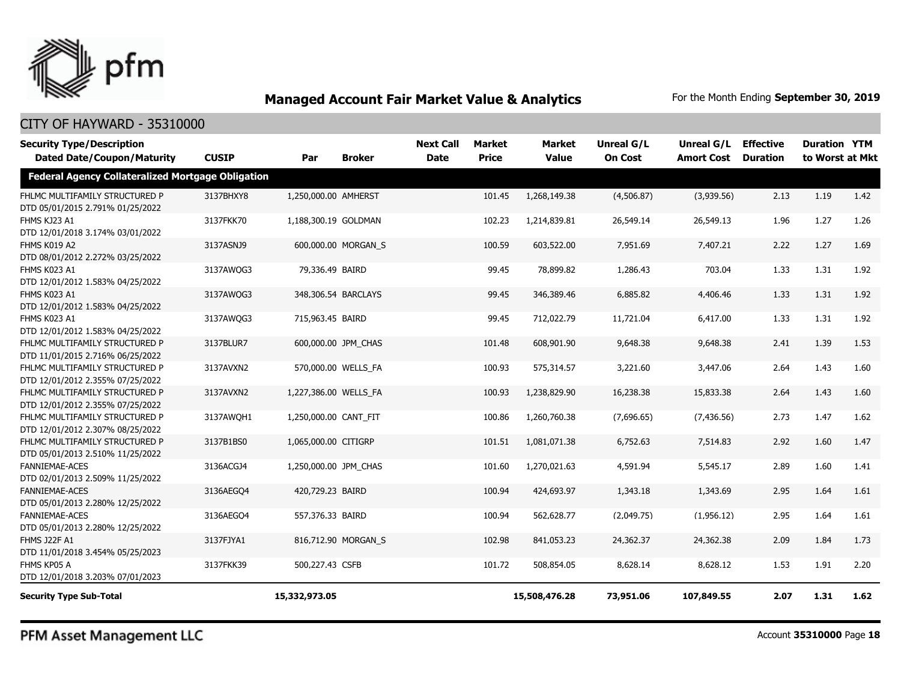

| <b>Security Type/Description</b><br><b>Dated Date/Coupon/Maturity</b> | <b>CUSIP</b> | Par                   | <b>Broker</b>       | <b>Next Call</b><br><b>Date</b> | <b>Market</b><br><b>Price</b> | <b>Market</b><br><b>Value</b> | Unreal G/L<br><b>On Cost</b> | Unreal G/L<br><b>Amort Cost</b> | <b>Effective</b><br><b>Duration</b> | <b>Duration YTM</b><br>to Worst at Mkt |      |
|-----------------------------------------------------------------------|--------------|-----------------------|---------------------|---------------------------------|-------------------------------|-------------------------------|------------------------------|---------------------------------|-------------------------------------|----------------------------------------|------|
| <b>Federal Agency Collateralized Mortgage Obligation</b>              |              |                       |                     |                                 |                               |                               |                              |                                 |                                     |                                        |      |
| FHLMC MULTIFAMILY STRUCTURED P<br>DTD 05/01/2015 2.791% 01/25/2022    | 3137BHXY8    | 1,250,000.00 AMHERST  |                     |                                 | 101.45                        | 1,268,149.38                  | (4,506.87)                   | (3,939.56)                      | 2.13                                | 1.19                                   | 1.42 |
| FHMS KJ23 A1<br>DTD 12/01/2018 3.174% 03/01/2022                      | 3137FKK70    | 1,188,300.19 GOLDMAN  |                     |                                 | 102.23                        | 1,214,839.81                  | 26,549.14                    | 26,549.13                       | 1.96                                | 1.27                                   | 1.26 |
| FHMS K019 A2<br>DTD 08/01/2012 2.272% 03/25/2022                      | 3137ASNJ9    |                       | 600,000.00 MORGAN S |                                 | 100.59                        | 603,522.00                    | 7,951.69                     | 7,407.21                        | 2.22                                | 1.27                                   | 1.69 |
| FHMS K023 A1<br>DTD 12/01/2012 1.583% 04/25/2022                      | 3137AWQG3    | 79,336.49 BAIRD       |                     |                                 | 99.45                         | 78,899.82                     | 1,286.43                     | 703.04                          | 1.33                                | 1.31                                   | 1.92 |
| FHMS K023 A1<br>DTD 12/01/2012 1.583% 04/25/2022                      | 3137AWQG3    |                       | 348,306.54 BARCLAYS |                                 | 99.45                         | 346,389.46                    | 6,885.82                     | 4,406.46                        | 1.33                                | 1.31                                   | 1.92 |
| FHMS K023 A1<br>DTD 12/01/2012 1.583% 04/25/2022                      | 3137AWQG3    | 715,963.45 BAIRD      |                     |                                 | 99.45                         | 712,022.79                    | 11,721.04                    | 6,417.00                        | 1.33                                | 1.31                                   | 1.92 |
| FHLMC MULTIFAMILY STRUCTURED P<br>DTD 11/01/2015 2.716% 06/25/2022    | 3137BLUR7    |                       | 600,000.00 JPM CHAS |                                 | 101.48                        | 608,901.90                    | 9,648.38                     | 9,648.38                        | 2.41                                | 1.39                                   | 1.53 |
| FHLMC MULTIFAMILY STRUCTURED P<br>DTD 12/01/2012 2.355% 07/25/2022    | 3137AVXN2    |                       | 570,000.00 WELLS FA |                                 | 100.93                        | 575,314.57                    | 3,221.60                     | 3,447.06                        | 2.64                                | 1.43                                   | 1.60 |
| FHLMC MULTIFAMILY STRUCTURED P<br>DTD 12/01/2012 2.355% 07/25/2022    | 3137AVXN2    | 1,227,386.00 WELLS FA |                     |                                 | 100.93                        | 1,238,829.90                  | 16,238.38                    | 15,833.38                       | 2.64                                | 1.43                                   | 1.60 |
| FHLMC MULTIFAMILY STRUCTURED P<br>DTD 12/01/2012 2.307% 08/25/2022    | 3137AWOH1    | 1,250,000.00 CANT FIT |                     |                                 | 100.86                        | 1,260,760.38                  | (7,696.65)                   | (7, 436.56)                     | 2.73                                | 1.47                                   | 1.62 |
| FHLMC MULTIFAMILY STRUCTURED P<br>DTD 05/01/2013 2.510% 11/25/2022    | 3137B1BS0    | 1,065,000.00 CITIGRP  |                     |                                 | 101.51                        | 1,081,071.38                  | 6,752.63                     | 7,514.83                        | 2.92                                | 1.60                                   | 1.47 |
| FANNIEMAE-ACES<br>DTD 02/01/2013 2.509% 11/25/2022                    | 3136ACGJ4    | 1,250,000.00 JPM_CHAS |                     |                                 | 101.60                        | 1,270,021.63                  | 4,591.94                     | 5,545.17                        | 2.89                                | 1.60                                   | 1.41 |
| <b>FANNIEMAE-ACES</b><br>DTD 05/01/2013 2.280% 12/25/2022             | 3136AEGO4    | 420,729.23 BAIRD      |                     |                                 | 100.94                        | 424,693.97                    | 1,343.18                     | 1,343.69                        | 2.95                                | 1.64                                   | 1.61 |
| <b>FANNIEMAE-ACES</b><br>DTD 05/01/2013 2.280% 12/25/2022             | 3136AEGO4    | 557,376.33 BAIRD      |                     |                                 | 100.94                        | 562,628.77                    | (2,049.75)                   | (1,956.12)                      | 2.95                                | 1.64                                   | 1.61 |
| <b>FHMS J22F A1</b><br>DTD 11/01/2018 3.454% 05/25/2023               | 3137FJYA1    |                       | 816,712.90 MORGAN_S |                                 | 102.98                        | 841,053.23                    | 24,362.37                    | 24,362.38                       | 2.09                                | 1.84                                   | 1.73 |
| FHMS KP05 A<br>DTD 12/01/2018 3.203% 07/01/2023                       | 3137FKK39    | 500,227.43 CSFB       |                     |                                 | 101.72                        | 508,854.05                    | 8,628.14                     | 8,628.12                        | 1.53                                | 1.91                                   | 2.20 |
| <b>Security Type Sub-Total</b>                                        |              | 15,332,973.05         |                     |                                 |                               | 15,508,476.28                 | 73,951.06                    | 107,849.55                      | 2.07                                | 1.31                                   | 1.62 |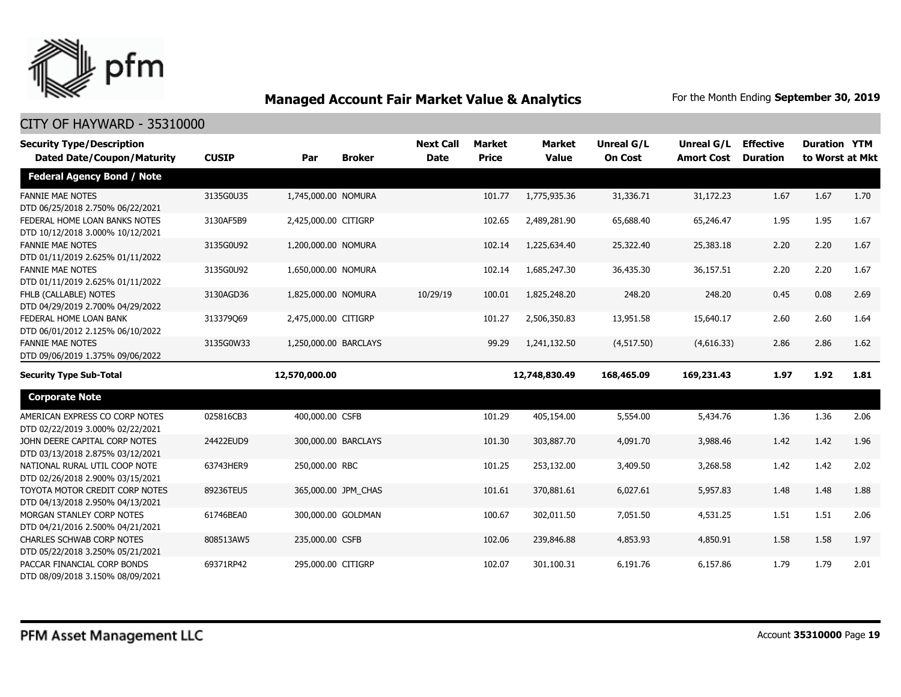

| <b>Security Type/Description</b>                                     |              |                       |                     | <b>Next Call</b> | <b>Market</b> | <b>Market</b> | Unreal G/L     | <b>Unreal G/L</b> | <b>Effective</b> | <b>Duration YTM</b> |      |
|----------------------------------------------------------------------|--------------|-----------------------|---------------------|------------------|---------------|---------------|----------------|-------------------|------------------|---------------------|------|
| <b>Dated Date/Coupon/Maturity</b>                                    | <b>CUSIP</b> | Par                   | <b>Broker</b>       | <b>Date</b>      | <b>Price</b>  | <b>Value</b>  | <b>On Cost</b> | <b>Amort Cost</b> | <b>Duration</b>  | to Worst at Mkt     |      |
| <b>Federal Agency Bond / Note</b>                                    |              |                       |                     |                  |               |               |                |                   |                  |                     |      |
| <b>FANNIE MAE NOTES</b><br>DTD 06/25/2018 2.750% 06/22/2021          | 3135G0U35    | 1,745,000.00 NOMURA   |                     |                  | 101.77        | 1,775,935.36  | 31,336.71      | 31,172.23         | 1.67             | 1.67                | 1.70 |
| FEDERAL HOME LOAN BANKS NOTES<br>DTD 10/12/2018 3.000% 10/12/2021    | 3130AF5B9    | 2,425,000.00 CITIGRP  |                     |                  | 102.65        | 2,489,281.90  | 65,688.40      | 65,246.47         | 1.95             | 1.95                | 1.67 |
| <b>FANNIE MAE NOTES</b><br>DTD 01/11/2019 2.625% 01/11/2022          | 3135G0U92    | 1,200,000.00 NOMURA   |                     |                  | 102.14        | 1,225,634.40  | 25,322.40      | 25,383.18         | 2.20             | 2.20                | 1.67 |
| <b>FANNIE MAE NOTES</b><br>DTD 01/11/2019 2.625% 01/11/2022          | 3135G0U92    | 1,650,000.00 NOMURA   |                     |                  | 102.14        | 1,685,247.30  | 36,435.30      | 36,157.51         | 2.20             | 2.20                | 1.67 |
| FHLB (CALLABLE) NOTES<br>DTD 04/29/2019 2.700% 04/29/2022            | 3130AGD36    | 1,825,000.00 NOMURA   |                     | 10/29/19         | 100.01        | 1,825,248.20  | 248.20         | 248.20            | 0.45             | 0.08                | 2.69 |
| FEDERAL HOME LOAN BANK<br>DTD 06/01/2012 2.125% 06/10/2022           | 313379069    | 2,475,000.00 CITIGRP  |                     |                  | 101.27        | 2,506,350.83  | 13,951.58      | 15,640.17         | 2.60             | 2.60                | 1.64 |
| <b>FANNIE MAE NOTES</b><br>DTD 09/06/2019 1.375% 09/06/2022          | 3135G0W33    | 1,250,000.00 BARCLAYS |                     |                  | 99.29         | 1,241,132.50  | (4, 517.50)    | (4,616.33)        | 2.86             | 2.86                | 1.62 |
| <b>Security Type Sub-Total</b>                                       |              | 12,570,000.00         |                     |                  |               | 12,748,830.49 | 168,465.09     | 169,231.43        | 1.97             | 1.92                | 1.81 |
| <b>Corporate Note</b>                                                |              |                       |                     |                  |               |               |                |                   |                  |                     |      |
| AMERICAN EXPRESS CO CORP NOTES<br>DTD 02/22/2019 3.000% 02/22/2021   | 025816CB3    | 400,000.00 CSFB       |                     |                  | 101.29        | 405,154.00    | 5,554.00       | 5,434.76          | 1.36             | 1.36                | 2.06 |
| JOHN DEERE CAPITAL CORP NOTES<br>DTD 03/13/2018 2.875% 03/12/2021    | 24422EUD9    | 300,000.00 BARCLAYS   |                     |                  | 101.30        | 303,887.70    | 4,091.70       | 3,988.46          | 1.42             | 1.42                | 1.96 |
| NATIONAL RURAL UTIL COOP NOTE<br>DTD 02/26/2018 2.900% 03/15/2021    | 63743HER9    | 250,000.00 RBC        |                     |                  | 101.25        | 253,132.00    | 3,409.50       | 3,268.58          | 1.42             | 1.42                | 2.02 |
| TOYOTA MOTOR CREDIT CORP NOTES<br>DTD 04/13/2018 2.950% 04/13/2021   | 89236TEU5    |                       | 365,000.00 JPM_CHAS |                  | 101.61        | 370,881.61    | 6,027.61       | 5,957.83          | 1.48             | 1.48                | 1.88 |
| MORGAN STANLEY CORP NOTES<br>DTD 04/21/2016 2.500% 04/21/2021        | 61746BEA0    |                       | 300,000.00 GOLDMAN  |                  | 100.67        | 302,011.50    | 7,051.50       | 4,531.25          | 1.51             | 1.51                | 2.06 |
| <b>CHARLES SCHWAB CORP NOTES</b><br>DTD 05/22/2018 3.250% 05/21/2021 | 808513AW5    | 235,000.00 CSFB       |                     |                  | 102.06        | 239,846.88    | 4,853.93       | 4,850.91          | 1.58             | 1.58                | 1.97 |
| PACCAR FINANCIAL CORP BONDS<br>DTD 08/09/2018 3.150% 08/09/2021      | 69371RP42    | 295,000.00 CITIGRP    |                     |                  | 102.07        | 301,100.31    | 6,191.76       | 6,157.86          | 1.79             | 1.79                | 2.01 |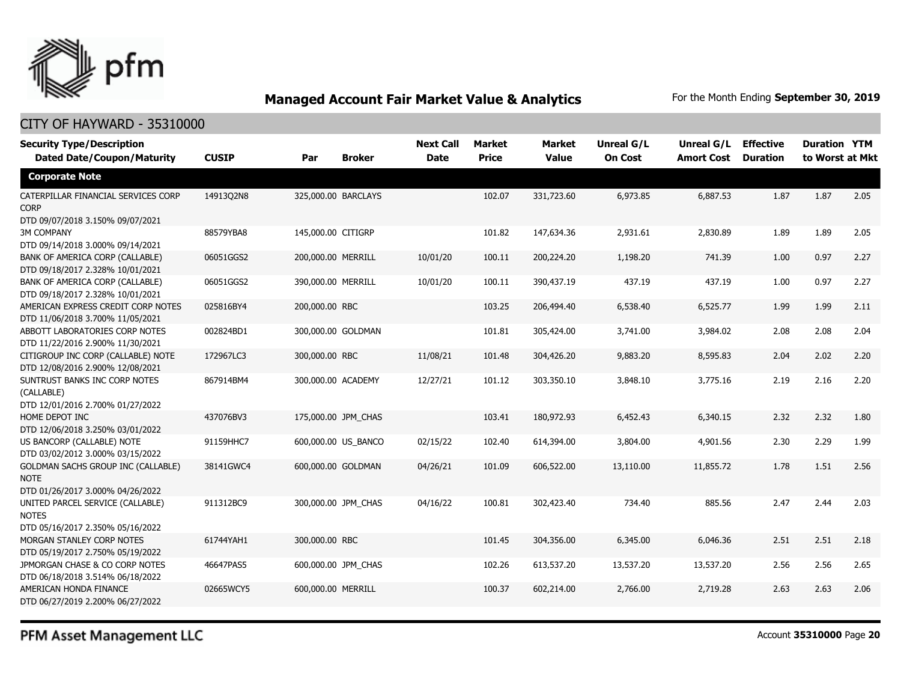

### CITY OF HAYWARD - 35310000

| <b>Security Type/Description</b><br><b>Dated Date/Coupon/Maturity</b>                  | <b>CUSIP</b> | Par                 | <b>Broker</b>       | <b>Next Call</b><br><b>Date</b> | Market<br><b>Price</b> | <b>Market</b><br><b>Value</b> | <b>Unreal G/L</b><br><b>On Cost</b> | Unreal G/L Effective<br><b>Amort Cost</b> | <b>Duration</b> | <b>Duration YTM</b><br>to Worst at Mkt |      |
|----------------------------------------------------------------------------------------|--------------|---------------------|---------------------|---------------------------------|------------------------|-------------------------------|-------------------------------------|-------------------------------------------|-----------------|----------------------------------------|------|
| <b>Corporate Note</b>                                                                  |              |                     |                     |                                 |                        |                               |                                     |                                           |                 |                                        |      |
| CATERPILLAR FINANCIAL SERVICES CORP<br><b>CORP</b><br>DTD 09/07/2018 3.150% 09/07/2021 | 14913Q2N8    | 325,000.00 BARCLAYS |                     |                                 | 102.07                 | 331,723.60                    | 6,973.85                            | 6,887.53                                  | 1.87            | 1.87                                   | 2.05 |
| <b>3M COMPANY</b><br>DTD 09/14/2018 3.000% 09/14/2021                                  | 88579YBA8    | 145,000.00 CITIGRP  |                     |                                 | 101.82                 | 147,634.36                    | 2,931.61                            | 2,830.89                                  | 1.89            | 1.89                                   | 2.05 |
| BANK OF AMERICA CORP (CALLABLE)<br>DTD 09/18/2017 2.328% 10/01/2021                    | 06051GGS2    | 200,000.00 MERRILL  |                     | 10/01/20                        | 100.11                 | 200,224.20                    | 1,198.20                            | 741.39                                    | 1.00            | 0.97                                   | 2.27 |
| BANK OF AMERICA CORP (CALLABLE)<br>DTD 09/18/2017 2.328% 10/01/2021                    | 06051GGS2    | 390,000.00 MERRILL  |                     | 10/01/20                        | 100.11                 | 390,437.19                    | 437.19                              | 437.19                                    | 1.00            | 0.97                                   | 2.27 |
| AMERICAN EXPRESS CREDIT CORP NOTES<br>DTD 11/06/2018 3.700% 11/05/2021                 | 025816BY4    | 200,000.00 RBC      |                     |                                 | 103.25                 | 206,494.40                    | 6,538.40                            | 6,525.77                                  | 1.99            | 1.99                                   | 2.11 |
| ABBOTT LABORATORIES CORP NOTES<br>DTD 11/22/2016 2.900% 11/30/2021                     | 002824BD1    | 300,000.00 GOLDMAN  |                     |                                 | 101.81                 | 305,424.00                    | 3,741.00                            | 3,984.02                                  | 2.08            | 2.08                                   | 2.04 |
| CITIGROUP INC CORP (CALLABLE) NOTE<br>DTD 12/08/2016 2.900% 12/08/2021                 | 172967LC3    | 300,000.00 RBC      |                     | 11/08/21                        | 101.48                 | 304,426.20                    | 9,883.20                            | 8,595.83                                  | 2.04            | 2.02                                   | 2.20 |
| SUNTRUST BANKS INC CORP NOTES<br>(CALLABLE)<br>DTD 12/01/2016 2.700% 01/27/2022        | 867914BM4    | 300,000.00 ACADEMY  |                     | 12/27/21                        | 101.12                 | 303,350.10                    | 3,848.10                            | 3,775.16                                  | 2.19            | 2.16                                   | 2.20 |
| HOME DEPOT INC<br>DTD 12/06/2018 3.250% 03/01/2022                                     | 437076BV3    | 175,000.00 JPM CHAS |                     |                                 | 103.41                 | 180,972.93                    | 6,452.43                            | 6,340.15                                  | 2.32            | 2.32                                   | 1.80 |
| US BANCORP (CALLABLE) NOTE<br>DTD 03/02/2012 3.000% 03/15/2022                         | 91159HHC7    |                     | 600,000.00 US_BANCO | 02/15/22                        | 102.40                 | 614,394.00                    | 3,804.00                            | 4,901.56                                  | 2.30            | 2.29                                   | 1.99 |
| GOLDMAN SACHS GROUP INC (CALLABLE)<br><b>NOTE</b><br>DTD 01/26/2017 3.000% 04/26/2022  | 38141GWC4    | 600,000.00 GOLDMAN  |                     | 04/26/21                        | 101.09                 | 606,522.00                    | 13,110.00                           | 11,855.72                                 | 1.78            | 1.51                                   | 2.56 |
| UNITED PARCEL SERVICE (CALLABLE)<br><b>NOTES</b><br>DTD 05/16/2017 2.350% 05/16/2022   | 911312BC9    | 300,000.00 JPM CHAS |                     | 04/16/22                        | 100.81                 | 302,423.40                    | 734.40                              | 885.56                                    | 2.47            | 2.44                                   | 2.03 |
| MORGAN STANLEY CORP NOTES<br>DTD 05/19/2017 2.750% 05/19/2022                          | 61744YAH1    | 300,000.00 RBC      |                     |                                 | 101.45                 | 304,356.00                    | 6,345.00                            | 6,046.36                                  | 2.51            | 2.51                                   | 2.18 |
| JPMORGAN CHASE & CO CORP NOTES<br>DTD 06/18/2018 3.514% 06/18/2022                     | 46647PAS5    | 600,000.00 JPM_CHAS |                     |                                 | 102.26                 | 613,537.20                    | 13,537.20                           | 13,537.20                                 | 2.56            | 2.56                                   | 2.65 |
| AMERICAN HONDA FINANCE<br>DTD 06/27/2019 2.200% 06/27/2022                             | 02665WCY5    | 600,000.00 MERRILL  |                     |                                 | 100.37                 | 602,214.00                    | 2,766.00                            | 2,719.28                                  | 2.63            | 2.63                                   | 2.06 |

PFM Asset Management LLC

Account **35310000** Page **20**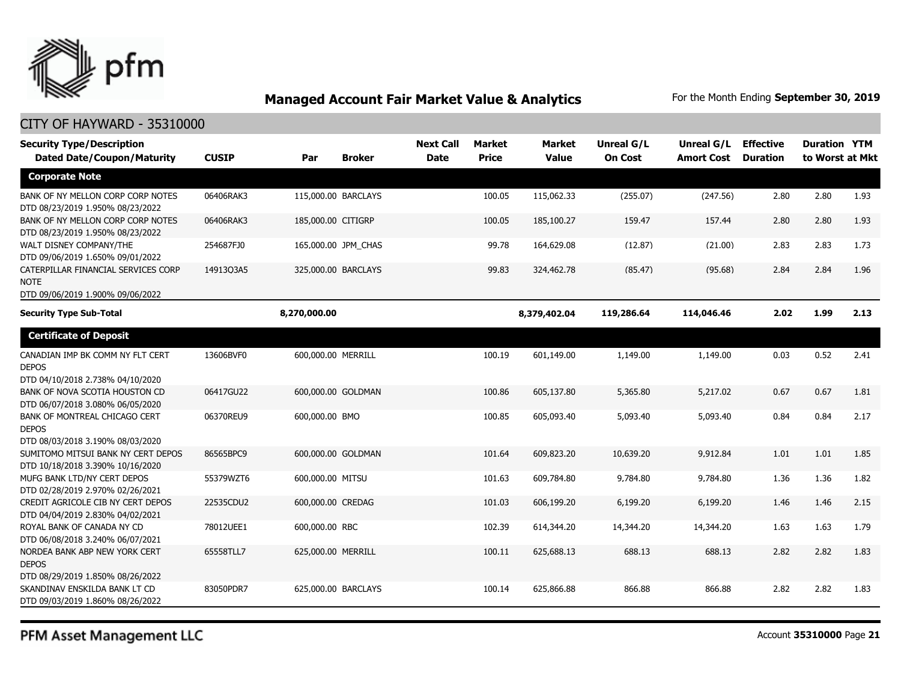

### CITY OF HAYWARD - 35310000

| <b>Security Type/Description</b>                                                       |              |                    |                     | <b>Next Call</b> | Market       | <b>Market</b> | Unreal G/L     | Unreal G/L        | <b>Effective</b> | <b>Duration YTM</b> |      |
|----------------------------------------------------------------------------------------|--------------|--------------------|---------------------|------------------|--------------|---------------|----------------|-------------------|------------------|---------------------|------|
| <b>Dated Date/Coupon/Maturity</b>                                                      | <b>CUSIP</b> | Par                | <b>Broker</b>       | <b>Date</b>      | <b>Price</b> | <b>Value</b>  | <b>On Cost</b> | <b>Amort Cost</b> | <b>Duration</b>  | to Worst at Mkt     |      |
| <b>Corporate Note</b>                                                                  |              |                    |                     |                  |              |               |                |                   |                  |                     |      |
| BANK OF NY MELLON CORP CORP NOTES<br>DTD 08/23/2019 1.950% 08/23/2022                  | 06406RAK3    |                    | 115,000.00 BARCLAYS |                  | 100.05       | 115,062.33    | (255.07)       | (247.56)          | 2.80             | 2.80                | 1.93 |
| BANK OF NY MELLON CORP CORP NOTES<br>DTD 08/23/2019 1.950% 08/23/2022                  | 06406RAK3    | 185,000.00 CITIGRP |                     |                  | 100.05       | 185,100.27    | 159.47         | 157.44            | 2.80             | 2.80                | 1.93 |
| WALT DISNEY COMPANY/THE<br>DTD 09/06/2019 1.650% 09/01/2022                            | 254687FJ0    |                    | 165,000.00 JPM_CHAS |                  | 99.78        | 164,629.08    | (12.87)        | (21.00)           | 2.83             | 2.83                | 1.73 |
| CATERPILLAR FINANCIAL SERVICES CORP<br><b>NOTE</b><br>DTD 09/06/2019 1.900% 09/06/2022 | 14913Q3A5    |                    | 325,000.00 BARCLAYS |                  | 99.83        | 324,462.78    | (85.47)        | (95.68)           | 2.84             | 2.84                | 1.96 |
| <b>Security Type Sub-Total</b>                                                         |              | 8,270,000.00       |                     |                  |              | 8,379,402.04  | 119,286.64     | 114,046.46        | 2.02             | 1.99                | 2.13 |
| <b>Certificate of Deposit</b>                                                          |              |                    |                     |                  |              |               |                |                   |                  |                     |      |
| CANADIAN IMP BK COMM NY FLT CERT<br><b>DEPOS</b><br>DTD 04/10/2018 2.738% 04/10/2020   | 13606BVF0    | 600,000.00 MERRILL |                     |                  | 100.19       | 601,149.00    | 1,149.00       | 1,149.00          | 0.03             | 0.52                | 2.41 |
| BANK OF NOVA SCOTIA HOUSTON CD<br>DTD 06/07/2018 3.080% 06/05/2020                     | 06417GU22    |                    | 600,000.00 GOLDMAN  |                  | 100.86       | 605,137.80    | 5,365.80       | 5,217.02          | 0.67             | 0.67                | 1.81 |
| BANK OF MONTREAL CHICAGO CERT<br><b>DEPOS</b><br>DTD 08/03/2018 3.190% 08/03/2020      | 06370REU9    | 600,000.00 BMO     |                     |                  | 100.85       | 605,093.40    | 5,093.40       | 5,093.40          | 0.84             | 0.84                | 2.17 |
| SUMITOMO MITSUI BANK NY CERT DEPOS<br>DTD 10/18/2018 3.390% 10/16/2020                 | 86565BPC9    |                    | 600,000.00 GOLDMAN  |                  | 101.64       | 609,823.20    | 10,639.20      | 9,912.84          | 1.01             | 1.01                | 1.85 |
| MUFG BANK LTD/NY CERT DEPOS<br>DTD 02/28/2019 2.970% 02/26/2021                        | 55379WZT6    | 600,000.00 MITSU   |                     |                  | 101.63       | 609,784.80    | 9,784.80       | 9,784.80          | 1.36             | 1.36                | 1.82 |
| CREDIT AGRICOLE CIB NY CERT DEPOS<br>DTD 04/04/2019 2.830% 04/02/2021                  | 22535CDU2    | 600,000.00 CREDAG  |                     |                  | 101.03       | 606,199.20    | 6,199.20       | 6,199.20          | 1.46             | 1.46                | 2.15 |
| ROYAL BANK OF CANADA NY CD<br>DTD 06/08/2018 3.240% 06/07/2021                         | 78012UEE1    | 600,000.00 RBC     |                     |                  | 102.39       | 614,344.20    | 14,344.20      | 14,344.20         | 1.63             | 1.63                | 1.79 |
| NORDEA BANK ABP NEW YORK CERT<br><b>DEPOS</b><br>DTD 08/29/2019 1.850% 08/26/2022      | 65558TLL7    | 625,000.00 MERRILL |                     |                  | 100.11       | 625,688.13    | 688.13         | 688.13            | 2.82             | 2.82                | 1.83 |
| SKANDINAV ENSKILDA BANK LT CD<br>DTD 09/03/2019 1.860% 08/26/2022                      | 83050PDR7    |                    | 625,000.00 BARCLAYS |                  | 100.14       | 625,866.88    | 866.88         | 866.88            | 2.82             | 2.82                | 1.83 |

PFM Asset Management LLC

Account **35310000** Page **21**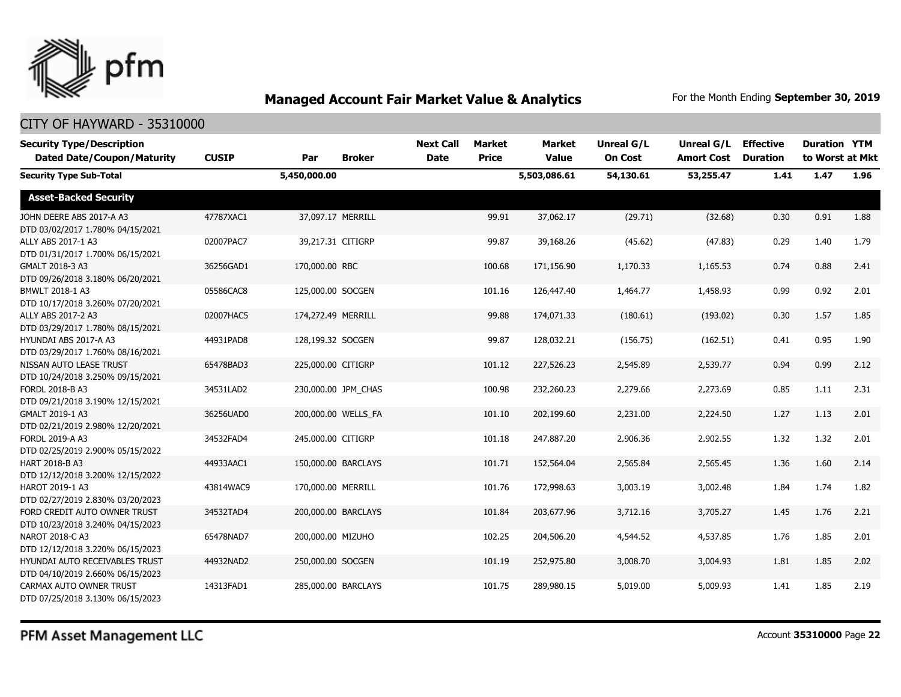

| <b>Security Type/Description</b><br><b>Dated Date/Coupon/Maturity</b> | <b>CUSIP</b> | Par                | <b>Broker</b>       | <b>Next Call</b><br><b>Date</b> | <b>Market</b><br><b>Price</b> | <b>Market</b><br><b>Value</b> | <b>Unreal G/L</b><br><b>On Cost</b> | Unreal G/L<br><b>Amort Cost</b> | <b>Effective</b><br><b>Duration</b> | <b>Duration YTM</b><br>to Worst at Mkt |      |
|-----------------------------------------------------------------------|--------------|--------------------|---------------------|---------------------------------|-------------------------------|-------------------------------|-------------------------------------|---------------------------------|-------------------------------------|----------------------------------------|------|
| <b>Security Type Sub-Total</b>                                        |              | 5,450,000.00       |                     |                                 |                               | 5,503,086.61                  | 54,130.61                           | 53,255.47                       | 1.41                                | 1.47                                   | 1.96 |
| <b>Asset-Backed Security</b>                                          |              |                    |                     |                                 |                               |                               |                                     |                                 |                                     |                                        |      |
| JOHN DEERE ABS 2017-A A3<br>DTD 03/02/2017 1.780% 04/15/2021          | 47787XAC1    |                    | 37,097.17 MERRILL   |                                 | 99.91                         | 37,062.17                     | (29.71)                             | (32.68)                         | 0.30                                | 0.91                                   | 1.88 |
| ALLY ABS 2017-1 A3<br>DTD 01/31/2017 1.700% 06/15/2021                | 02007PAC7    | 39,217.31 CITIGRP  |                     |                                 | 99.87                         | 39,168.26                     | (45.62)                             | (47.83)                         | 0.29                                | 1.40                                   | 1.79 |
| GMALT 2018-3 A3<br>DTD 09/26/2018 3.180% 06/20/2021                   | 36256GAD1    | 170,000.00 RBC     |                     |                                 | 100.68                        | 171,156.90                    | 1,170.33                            | 1,165.53                        | 0.74                                | 0.88                                   | 2.41 |
| BMWLT 2018-1 A3<br>DTD 10/17/2018 3.260% 07/20/2021                   | 05586CAC8    | 125,000.00 SOCGEN  |                     |                                 | 101.16                        | 126,447.40                    | 1,464.77                            | 1,458.93                        | 0.99                                | 0.92                                   | 2.01 |
| ALLY ABS 2017-2 A3<br>DTD 03/29/2017 1.780% 08/15/2021                | 02007HAC5    | 174,272.49 MERRILL |                     |                                 | 99.88                         | 174,071.33                    | (180.61)                            | (193.02)                        | 0.30                                | 1.57                                   | 1.85 |
| HYUNDAI ABS 2017-A A3<br>DTD 03/29/2017 1.760% 08/16/2021             | 44931PAD8    | 128,199.32 SOCGEN  |                     |                                 | 99.87                         | 128,032.21                    | (156.75)                            | (162.51)                        | 0.41                                | 0.95                                   | 1.90 |
| NISSAN AUTO LEASE TRUST<br>DTD 10/24/2018 3.250% 09/15/2021           | 65478BAD3    | 225,000.00 CITIGRP |                     |                                 | 101.12                        | 227,526.23                    | 2,545.89                            | 2,539.77                        | 0.94                                | 0.99                                   | 2.12 |
| FORDL 2018-B A3<br>DTD 09/21/2018 3.190% 12/15/2021                   | 34531LAD2    |                    | 230,000.00 JPM CHAS |                                 | 100.98                        | 232,260.23                    | 2,279.66                            | 2,273.69                        | 0.85                                | 1.11                                   | 2.31 |
| GMALT 2019-1 A3<br>DTD 02/21/2019 2.980% 12/20/2021                   | 36256UAD0    |                    | 200,000.00 WELLS_FA |                                 | 101.10                        | 202,199.60                    | 2,231.00                            | 2,224.50                        | 1.27                                | 1.13                                   | 2.01 |
| FORDL 2019-A A3<br>DTD 02/25/2019 2.900% 05/15/2022                   | 34532FAD4    | 245,000.00 CITIGRP |                     |                                 | 101.18                        | 247,887.20                    | 2,906.36                            | 2,902.55                        | 1.32                                | 1.32                                   | 2.01 |
| HART 2018-B A3<br>DTD 12/12/2018 3.200% 12/15/2022                    | 44933AAC1    |                    | 150,000.00 BARCLAYS |                                 | 101.71                        | 152,564.04                    | 2,565.84                            | 2,565.45                        | 1.36                                | 1.60                                   | 2.14 |
| HAROT 2019-1 A3<br>DTD 02/27/2019 2.830% 03/20/2023                   | 43814WAC9    | 170,000.00 MERRILL |                     |                                 | 101.76                        | 172,998.63                    | 3,003.19                            | 3,002.48                        | 1.84                                | 1.74                                   | 1.82 |
| FORD CREDIT AUTO OWNER TRUST<br>DTD 10/23/2018 3.240% 04/15/2023      | 34532TAD4    |                    | 200,000.00 BARCLAYS |                                 | 101.84                        | 203,677.96                    | 3,712.16                            | 3,705.27                        | 1.45                                | 1.76                                   | 2.21 |
| NAROT 2018-C A3<br>DTD 12/12/2018 3.220% 06/15/2023                   | 65478NAD7    | 200,000.00 MIZUHO  |                     |                                 | 102.25                        | 204,506.20                    | 4,544.52                            | 4,537.85                        | 1.76                                | 1.85                                   | 2.01 |
| HYUNDAI AUTO RECEIVABLES TRUST<br>DTD 04/10/2019 2.660% 06/15/2023    | 44932NAD2    | 250,000.00 SOCGEN  |                     |                                 | 101.19                        | 252,975.80                    | 3,008.70                            | 3,004.93                        | 1.81                                | 1.85                                   | 2.02 |
| CARMAX AUTO OWNER TRUST<br>DTD 07/25/2018 3.130% 06/15/2023           | 14313FAD1    |                    | 285,000.00 BARCLAYS |                                 | 101.75                        | 289,980.15                    | 5,019.00                            | 5,009.93                        | 1.41                                | 1.85                                   | 2.19 |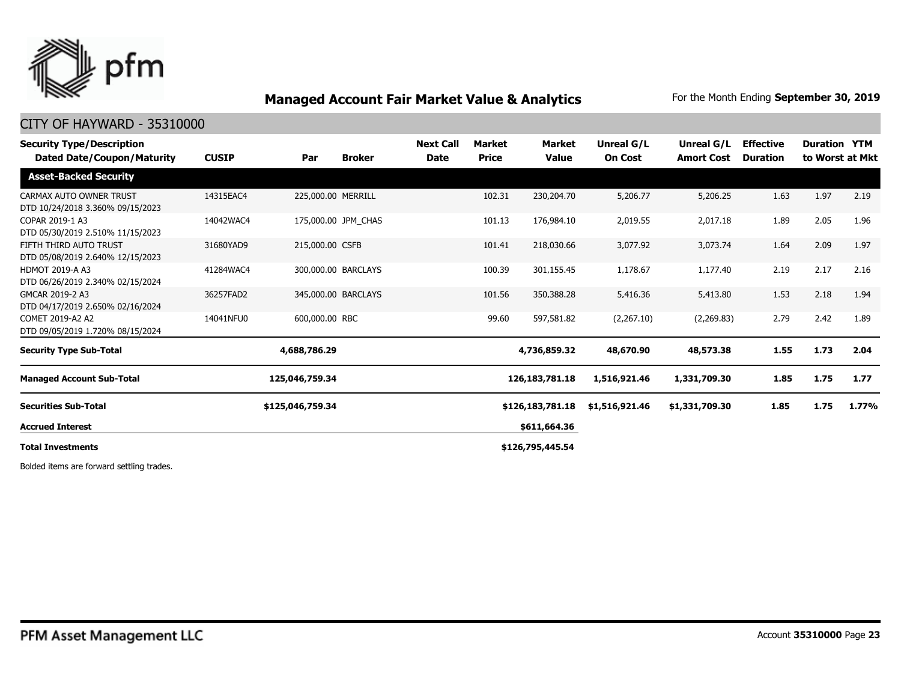

### CITY OF HAYWARD - 35310000

| <b>Security Type/Description</b><br>Dated Date/Coupon/Maturity | <b>CUSIP</b> | Par                 | <b>Broker</b> | <b>Next Call</b><br><b>Date</b> | Market<br><b>Price</b> | <b>Market</b><br><b>Value</b> | Unreal G/L<br><b>On Cost</b> | Unreal G/L<br><b>Amort Cost</b> | <b>Effective</b><br><b>Duration</b> | <b>Duration YTM</b> | to Worst at Mkt |
|----------------------------------------------------------------|--------------|---------------------|---------------|---------------------------------|------------------------|-------------------------------|------------------------------|---------------------------------|-------------------------------------|---------------------|-----------------|
| <b>Asset-Backed Security</b>                                   |              |                     |               |                                 |                        |                               |                              |                                 |                                     |                     |                 |
| CARMAX AUTO OWNER TRUST<br>DTD 10/24/2018 3.360% 09/15/2023    | 14315EAC4    | 225,000.00 MERRILL  |               |                                 | 102.31                 | 230,204.70                    | 5,206.77                     | 5,206.25                        | 1.63                                | 1.97                | 2.19            |
| COPAR 2019-1 A3<br>DTD 05/30/2019 2.510% 11/15/2023            | 14042WAC4    | 175,000.00 JPM CHAS |               |                                 | 101.13                 | 176,984.10                    | 2,019.55                     | 2,017.18                        | 1.89                                | 2.05                | 1.96            |
| FIFTH THIRD AUTO TRUST<br>DTD 05/08/2019 2.640% 12/15/2023     | 31680YAD9    | 215,000.00 CSFB     |               |                                 | 101.41                 | 218,030.66                    | 3,077.92                     | 3,073.74                        | 1.64                                | 2.09                | 1.97            |
| <b>HDMOT 2019-A A3</b><br>DTD 06/26/2019 2.340% 02/15/2024     | 41284WAC4    | 300,000.00 BARCLAYS |               |                                 | 100.39                 | 301,155.45                    | 1,178.67                     | 1,177.40                        | 2.19                                | 2.17                | 2.16            |
| GMCAR 2019-2 A3<br>DTD 04/17/2019 2.650% 02/16/2024            | 36257FAD2    | 345,000.00 BARCLAYS |               |                                 | 101.56                 | 350,388.28                    | 5,416.36                     | 5,413.80                        | 1.53                                | 2.18                | 1.94            |
| COMET 2019-A2 A2<br>DTD 09/05/2019 1.720% 08/15/2024           | 14041NFU0    | 600,000.00 RBC      |               |                                 | 99.60                  | 597,581.82                    | (2,267.10)                   | (2,269.83)                      | 2.79                                | 2.42                | 1.89            |
| <b>Security Type Sub-Total</b>                                 |              | 4,688,786.29        |               |                                 |                        | 4,736,859.32                  | 48,670.90                    | 48,573.38                       | 1.55                                | 1.73                | 2.04            |
| <b>Managed Account Sub-Total</b>                               |              | 125,046,759.34      |               |                                 |                        | 126, 183, 781. 18             | 1,516,921.46                 | 1,331,709.30                    | 1.85                                | 1.75                | 1.77            |
| <b>Securities Sub-Total</b>                                    |              | \$125,046,759.34    |               |                                 |                        | \$126,183,781.18              | \$1,516,921.46               | \$1,331,709.30                  | 1.85                                | 1.75                | 1.77%           |
| <b>Accrued Interest</b>                                        |              |                     |               |                                 |                        | \$611,664.36                  |                              |                                 |                                     |                     |                 |
| <b>Total Investments</b>                                       |              |                     |               |                                 |                        | \$126,795,445.54              |                              |                                 |                                     |                     |                 |
|                                                                |              |                     |               |                                 |                        |                               |                              |                                 |                                     |                     |                 |

Bolded items are forward settling trades.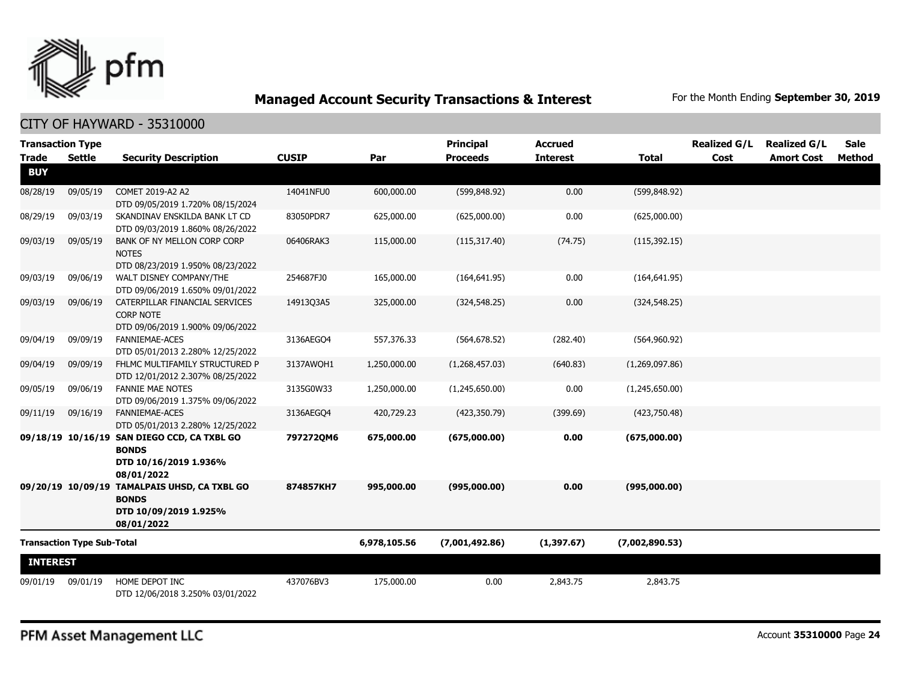

### CITY OF HAYWARD - 35310000

| <b>Transaction Type</b> |                                   |                                                                                                     |              |              | <b>Principal</b> | <b>Accrued</b>  |                | <b>Realized G/L</b> | <b>Realized G/L</b> | <b>Sale</b> |
|-------------------------|-----------------------------------|-----------------------------------------------------------------------------------------------------|--------------|--------------|------------------|-----------------|----------------|---------------------|---------------------|-------------|
| <b>Trade</b>            | <b>Settle</b>                     | <b>Security Description</b>                                                                         | <b>CUSIP</b> | Par          | <b>Proceeds</b>  | <b>Interest</b> | <b>Total</b>   | Cost                | <b>Amort Cost</b>   | Method      |
| <b>BUY</b>              |                                   |                                                                                                     |              |              |                  |                 |                |                     |                     |             |
| 08/28/19                | 09/05/19                          | COMET 2019-A2 A2<br>DTD 09/05/2019 1.720% 08/15/2024                                                | 14041NFU0    | 600,000.00   | (599, 848.92)    | 0.00            | (599, 848.92)  |                     |                     |             |
| 08/29/19                | 09/03/19                          | SKANDINAV ENSKILDA BANK LT CD<br>DTD 09/03/2019 1.860% 08/26/2022                                   | 83050PDR7    | 625,000.00   | (625,000.00)     | 0.00            | (625,000.00)   |                     |                     |             |
| 09/03/19                | 09/05/19                          | BANK OF NY MELLON CORP CORP<br><b>NOTES</b><br>DTD 08/23/2019 1.950% 08/23/2022                     | 06406RAK3    | 115,000.00   | (115, 317.40)    | (74.75)         | (115, 392.15)  |                     |                     |             |
| 09/03/19                | 09/06/19                          | WALT DISNEY COMPANY/THE<br>DTD 09/06/2019 1.650% 09/01/2022                                         | 254687FJ0    | 165,000.00   | (164, 641.95)    | 0.00            | (164, 641.95)  |                     |                     |             |
| 09/03/19                | 09/06/19                          | CATERPILLAR FINANCIAL SERVICES<br><b>CORP NOTE</b><br>DTD 09/06/2019 1.900% 09/06/2022              | 1491303A5    | 325,000.00   | (324, 548.25)    | 0.00            | (324, 548.25)  |                     |                     |             |
| 09/04/19                | 09/09/19                          | <b>FANNIEMAE-ACES</b><br>DTD 05/01/2013 2.280% 12/25/2022                                           | 3136AEGO4    | 557,376.33   | (564, 678.52)    | (282.40)        | (564,960.92)   |                     |                     |             |
| 09/04/19                | 09/09/19                          | FHLMC MULTIFAMILY STRUCTURED P<br>DTD 12/01/2012 2.307% 08/25/2022                                  | 3137AWQH1    | 1,250,000.00 | (1,268,457.03)   | (640.83)        | (1,269,097.86) |                     |                     |             |
| 09/05/19                | 09/06/19                          | <b>FANNIE MAE NOTES</b><br>DTD 09/06/2019 1.375% 09/06/2022                                         | 3135G0W33    | 1,250,000.00 | (1,245,650.00)   | 0.00            | (1,245,650.00) |                     |                     |             |
| 09/11/19                | 09/16/19                          | FANNIEMAE-ACES<br>DTD 05/01/2013 2.280% 12/25/2022                                                  | 3136AEGO4    | 420,729.23   | (423, 350.79)    | (399.69)        | (423,750.48)   |                     |                     |             |
|                         |                                   | 09/18/19 10/16/19 SAN DIEGO CCD, CA TXBL GO<br><b>BONDS</b><br>DTD 10/16/2019 1.936%<br>08/01/2022  | 797272QM6    | 675,000.00   | (675,000.00)     | 0.00            | (675,000.00)   |                     |                     |             |
|                         |                                   | 09/20/19 10/09/19 TAMALPAIS UHSD, CA TXBL GO<br><b>BONDS</b><br>DTD 10/09/2019 1.925%<br>08/01/2022 | 874857KH7    | 995,000.00   | (995,000.00)     | 0.00            | (995,000.00)   |                     |                     |             |
|                         | <b>Transaction Type Sub-Total</b> |                                                                                                     |              | 6,978,105.56 | (7,001,492.86)   | (1,397.67)      | (7,002,890.53) |                     |                     |             |
| <b>INTEREST</b>         |                                   |                                                                                                     |              |              |                  |                 |                |                     |                     |             |
| 09/01/19                | 09/01/19                          | HOME DEPOT INC<br>DTD 12/06/2018 3.250% 03/01/2022                                                  | 437076BV3    | 175,000.00   | 0.00             | 2,843.75        | 2,843.75       |                     |                     |             |

PFM Asset Management LLC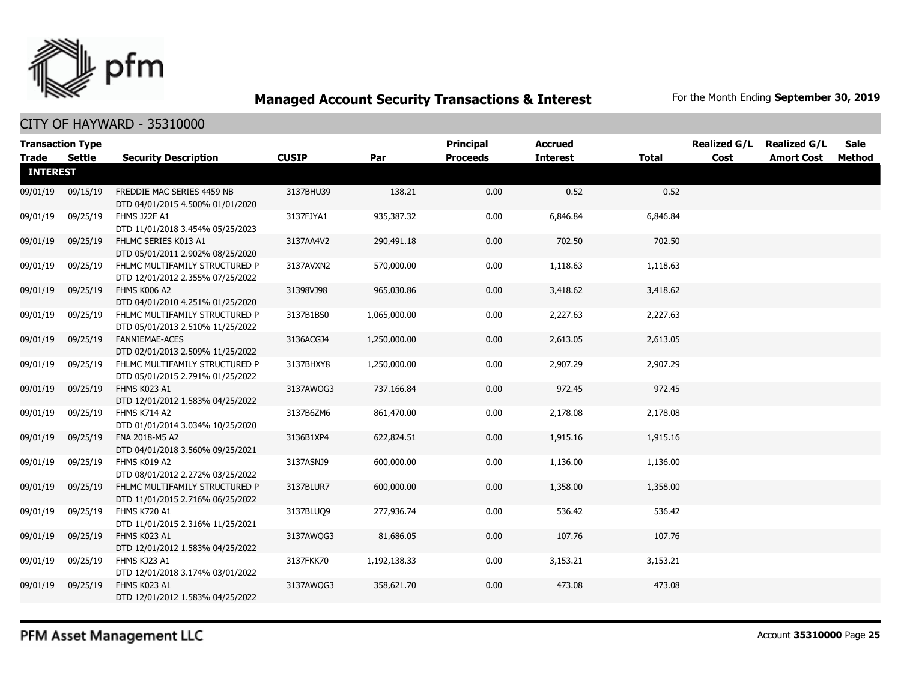

| <b>Transaction Type</b> |          |                                                                    |              |              | <b>Principal</b> | <b>Accrued</b>  |              | <b>Realized G/L</b> | <b>Realized G/L</b> | <b>Sale</b> |
|-------------------------|----------|--------------------------------------------------------------------|--------------|--------------|------------------|-----------------|--------------|---------------------|---------------------|-------------|
| Trade                   | Settle   | <b>Security Description</b>                                        | <b>CUSIP</b> | Par          | <b>Proceeds</b>  | <b>Interest</b> | <b>Total</b> | Cost                | <b>Amort Cost</b>   | Method      |
| <b>INTEREST</b>         |          |                                                                    |              |              |                  |                 |              |                     |                     |             |
| 09/01/19                | 09/15/19 | FREDDIE MAC SERIES 4459 NB<br>DTD 04/01/2015 4.500% 01/01/2020     | 3137BHU39    | 138.21       | 0.00             | 0.52            | 0.52         |                     |                     |             |
| 09/01/19                | 09/25/19 | FHMS J22F A1<br>DTD 11/01/2018 3.454% 05/25/2023                   | 3137FJYA1    | 935,387.32   | 0.00             | 6,846.84        | 6,846.84     |                     |                     |             |
| 09/01/19                | 09/25/19 | FHLMC SERIES K013 A1<br>DTD 05/01/2011 2.902% 08/25/2020           | 3137AA4V2    | 290,491.18   | 0.00             | 702.50          | 702.50       |                     |                     |             |
| 09/01/19                | 09/25/19 | FHLMC MULTIFAMILY STRUCTURED P<br>DTD 12/01/2012 2.355% 07/25/2022 | 3137AVXN2    | 570,000.00   | 0.00             | 1,118.63        | 1,118.63     |                     |                     |             |
| 09/01/19                | 09/25/19 | FHMS K006 A2<br>DTD 04/01/2010 4.251% 01/25/2020                   | 31398VJ98    | 965,030.86   | 0.00             | 3,418.62        | 3,418.62     |                     |                     |             |
| 09/01/19                | 09/25/19 | FHLMC MULTIFAMILY STRUCTURED P<br>DTD 05/01/2013 2.510% 11/25/2022 | 3137B1BS0    | 1,065,000.00 | 0.00             | 2,227.63        | 2,227.63     |                     |                     |             |
| 09/01/19                | 09/25/19 | <b>FANNIEMAE-ACES</b><br>DTD 02/01/2013 2.509% 11/25/2022          | 3136ACGJ4    | 1,250,000.00 | 0.00             | 2,613.05        | 2,613.05     |                     |                     |             |
| 09/01/19                | 09/25/19 | FHLMC MULTIFAMILY STRUCTURED P<br>DTD 05/01/2015 2.791% 01/25/2022 | 3137BHXY8    | 1,250,000.00 | 0.00             | 2,907.29        | 2,907.29     |                     |                     |             |
| 09/01/19                | 09/25/19 | FHMS K023 A1<br>DTD 12/01/2012 1.583% 04/25/2022                   | 3137AWQG3    | 737,166.84   | 0.00             | 972.45          | 972.45       |                     |                     |             |
| 09/01/19                | 09/25/19 | <b>FHMS K714 A2</b><br>DTD 01/01/2014 3.034% 10/25/2020            | 3137B6ZM6    | 861,470.00   | 0.00             | 2,178.08        | 2,178.08     |                     |                     |             |
| 09/01/19                | 09/25/19 | FNA 2018-M5 A2<br>DTD 04/01/2018 3.560% 09/25/2021                 | 3136B1XP4    | 622,824.51   | 0.00             | 1,915.16        | 1,915.16     |                     |                     |             |
| 09/01/19                | 09/25/19 | FHMS K019 A2<br>DTD 08/01/2012 2.272% 03/25/2022                   | 3137ASNJ9    | 600,000.00   | 0.00             | 1,136.00        | 1,136.00     |                     |                     |             |
| 09/01/19                | 09/25/19 | FHLMC MULTIFAMILY STRUCTURED P<br>DTD 11/01/2015 2.716% 06/25/2022 | 3137BLUR7    | 600,000.00   | 0.00             | 1,358.00        | 1,358.00     |                     |                     |             |
| 09/01/19                | 09/25/19 | FHMS K720 A1<br>DTD 11/01/2015 2.316% 11/25/2021                   | 3137BLUQ9    | 277,936.74   | 0.00             | 536.42          | 536.42       |                     |                     |             |
| 09/01/19                | 09/25/19 | FHMS K023 A1<br>DTD 12/01/2012 1.583% 04/25/2022                   | 3137AWOG3    | 81,686.05    | 0.00             | 107.76          | 107.76       |                     |                     |             |
| 09/01/19                | 09/25/19 | FHMS KJ23 A1<br>DTD 12/01/2018 3.174% 03/01/2022                   | 3137FKK70    | 1,192,138.33 | 0.00             | 3,153.21        | 3,153.21     |                     |                     |             |
| 09/01/19                | 09/25/19 | FHMS K023 A1<br>DTD 12/01/2012 1.583% 04/25/2022                   | 3137AWQG3    | 358,621.70   | 0.00             | 473.08          | 473.08       |                     |                     |             |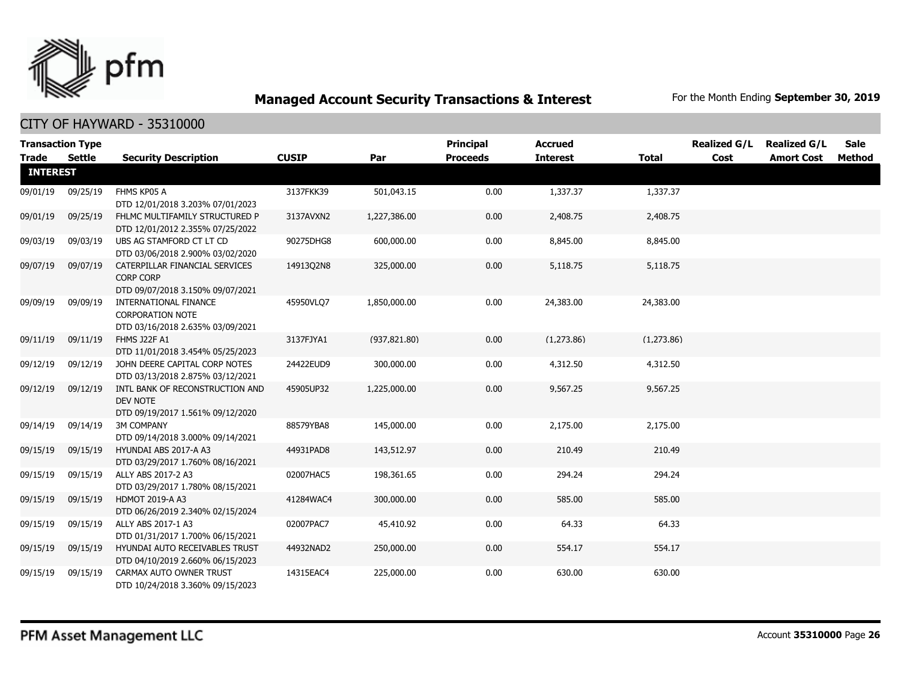

|                 | <b>Transaction Type</b> |                                                                                        |              |               | <b>Principal</b> | <b>Accrued</b>  |            | <b>Realized G/L</b> | <b>Realized G/L</b> | <b>Sale</b> |
|-----------------|-------------------------|----------------------------------------------------------------------------------------|--------------|---------------|------------------|-----------------|------------|---------------------|---------------------|-------------|
| <b>Trade</b>    | Settle                  | <b>Security Description</b>                                                            | <b>CUSIP</b> | Par           | <b>Proceeds</b>  | <b>Interest</b> | Total      | Cost                | <b>Amort Cost</b>   | Method      |
| <b>INTEREST</b> |                         |                                                                                        |              |               |                  |                 |            |                     |                     |             |
| 09/01/19        | 09/25/19                | FHMS KP05 A<br>DTD 12/01/2018 3.203% 07/01/2023                                        | 3137FKK39    | 501,043.15    | 0.00             | 1,337.37        | 1,337.37   |                     |                     |             |
| 09/01/19        | 09/25/19                | FHLMC MULTIFAMILY STRUCTURED P<br>DTD 12/01/2012 2.355% 07/25/2022                     | 3137AVXN2    | 1,227,386.00  | 0.00             | 2,408.75        | 2,408.75   |                     |                     |             |
| 09/03/19        | 09/03/19                | UBS AG STAMFORD CT LT CD<br>DTD 03/06/2018 2.900% 03/02/2020                           | 90275DHG8    | 600,000.00    | 0.00             | 8,845.00        | 8,845.00   |                     |                     |             |
| 09/07/19        | 09/07/19                | CATERPILLAR FINANCIAL SERVICES<br><b>CORP CORP</b><br>DTD 09/07/2018 3.150% 09/07/2021 | 14913Q2N8    | 325,000.00    | 0.00             | 5,118.75        | 5,118.75   |                     |                     |             |
| 09/09/19        | 09/09/19                | INTERNATIONAL FINANCE<br><b>CORPORATION NOTE</b><br>DTD 03/16/2018 2.635% 03/09/2021   | 45950VLQ7    | 1,850,000.00  | 0.00             | 24,383.00       | 24,383.00  |                     |                     |             |
| 09/11/19        | 09/11/19                | FHMS J22F A1<br>DTD 11/01/2018 3.454% 05/25/2023                                       | 3137FJYA1    | (937, 821.80) | 0.00             | (1,273.86)      | (1,273.86) |                     |                     |             |
| 09/12/19        | 09/12/19                | JOHN DEERE CAPITAL CORP NOTES<br>DTD 03/13/2018 2.875% 03/12/2021                      | 24422EUD9    | 300,000.00    | 0.00             | 4,312.50        | 4,312.50   |                     |                     |             |
| 09/12/19        | 09/12/19                | INTL BANK OF RECONSTRUCTION AND<br>DEV NOTE<br>DTD 09/19/2017 1.561% 09/12/2020        | 45905UP32    | 1,225,000.00  | 0.00             | 9,567.25        | 9,567.25   |                     |                     |             |
| 09/14/19        | 09/14/19                | <b>3M COMPANY</b><br>DTD 09/14/2018 3.000% 09/14/2021                                  | 88579YBA8    | 145,000.00    | 0.00             | 2,175.00        | 2,175.00   |                     |                     |             |
| 09/15/19        | 09/15/19                | HYUNDAI ABS 2017-A A3<br>DTD 03/29/2017 1.760% 08/16/2021                              | 44931PAD8    | 143,512.97    | 0.00             | 210.49          | 210.49     |                     |                     |             |
| 09/15/19        | 09/15/19                | ALLY ABS 2017-2 A3<br>DTD 03/29/2017 1.780% 08/15/2021                                 | 02007HAC5    | 198,361.65    | 0.00             | 294.24          | 294.24     |                     |                     |             |
| 09/15/19        | 09/15/19                | <b>HDMOT 2019-A A3</b><br>DTD 06/26/2019 2.340% 02/15/2024                             | 41284WAC4    | 300,000.00    | 0.00             | 585.00          | 585.00     |                     |                     |             |
| 09/15/19        | 09/15/19                | ALLY ABS 2017-1 A3<br>DTD 01/31/2017 1.700% 06/15/2021                                 | 02007PAC7    | 45,410.92     | 0.00             | 64.33           | 64.33      |                     |                     |             |
| 09/15/19        | 09/15/19                | HYUNDAI AUTO RECEIVABLES TRUST<br>DTD 04/10/2019 2.660% 06/15/2023                     | 44932NAD2    | 250,000.00    | 0.00             | 554.17          | 554.17     |                     |                     |             |
| 09/15/19        | 09/15/19                | CARMAX AUTO OWNER TRUST<br>DTD 10/24/2018 3.360% 09/15/2023                            | 14315EAC4    | 225,000.00    | 0.00             | 630.00          | 630.00     |                     |                     |             |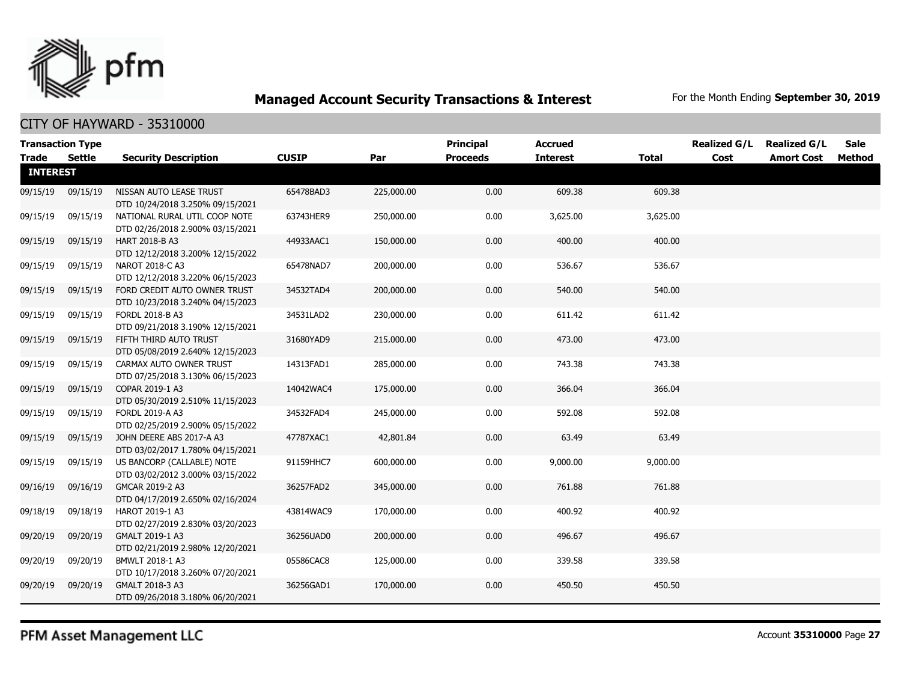

CITY OF HAYWARD - 35310000

| <b>Transaction Type</b><br><b>Trade</b> | Settle   | <b>Security Description</b>                                       | <b>CUSIP</b> | Par        | <b>Principal</b><br><b>Proceeds</b> | <b>Accrued</b><br><b>Interest</b> | Total    | <b>Realized G/L</b><br>Cost | <b>Realized G/L</b><br><b>Amort Cost</b> | Sale<br>Method |
|-----------------------------------------|----------|-------------------------------------------------------------------|--------------|------------|-------------------------------------|-----------------------------------|----------|-----------------------------|------------------------------------------|----------------|
| <b>INTEREST</b>                         |          |                                                                   |              |            |                                     |                                   |          |                             |                                          |                |
| 09/15/19                                | 09/15/19 | NISSAN AUTO LEASE TRUST<br>DTD 10/24/2018 3.250% 09/15/2021       | 65478BAD3    | 225,000.00 | 0.00                                | 609.38                            | 609.38   |                             |                                          |                |
| 09/15/19                                | 09/15/19 | NATIONAL RURAL UTIL COOP NOTE<br>DTD 02/26/2018 2.900% 03/15/2021 | 63743HER9    | 250,000.00 | 0.00                                | 3,625.00                          | 3,625.00 |                             |                                          |                |
| 09/15/19                                | 09/15/19 | HART 2018-B A3<br>DTD 12/12/2018 3.200% 12/15/2022                | 44933AAC1    | 150,000.00 | 0.00                                | 400.00                            | 400.00   |                             |                                          |                |
| 09/15/19                                | 09/15/19 | <b>NAROT 2018-C A3</b><br>DTD 12/12/2018 3.220% 06/15/2023        | 65478NAD7    | 200,000.00 | 0.00                                | 536.67                            | 536.67   |                             |                                          |                |
| 09/15/19                                | 09/15/19 | FORD CREDIT AUTO OWNER TRUST<br>DTD 10/23/2018 3.240% 04/15/2023  | 34532TAD4    | 200,000.00 | 0.00                                | 540.00                            | 540.00   |                             |                                          |                |
| 09/15/19                                | 09/15/19 | FORDL 2018-B A3<br>DTD 09/21/2018 3.190% 12/15/2021               | 34531LAD2    | 230,000.00 | 0.00                                | 611.42                            | 611.42   |                             |                                          |                |
| 09/15/19                                | 09/15/19 | FIFTH THIRD AUTO TRUST<br>DTD 05/08/2019 2.640% 12/15/2023        | 31680YAD9    | 215,000.00 | 0.00                                | 473.00                            | 473.00   |                             |                                          |                |
| 09/15/19                                | 09/15/19 | CARMAX AUTO OWNER TRUST<br>DTD 07/25/2018 3.130% 06/15/2023       | 14313FAD1    | 285,000.00 | 0.00                                | 743.38                            | 743.38   |                             |                                          |                |
| 09/15/19                                | 09/15/19 | COPAR 2019-1 A3<br>DTD 05/30/2019 2.510% 11/15/2023               | 14042WAC4    | 175,000.00 | 0.00                                | 366.04                            | 366.04   |                             |                                          |                |
| 09/15/19                                | 09/15/19 | <b>FORDL 2019-A A3</b><br>DTD 02/25/2019 2.900% 05/15/2022        | 34532FAD4    | 245,000.00 | 0.00                                | 592.08                            | 592.08   |                             |                                          |                |
| 09/15/19                                | 09/15/19 | JOHN DEERE ABS 2017-A A3<br>DTD 03/02/2017 1.780% 04/15/2021      | 47787XAC1    | 42,801.84  | 0.00                                | 63.49                             | 63.49    |                             |                                          |                |
| 09/15/19                                | 09/15/19 | US BANCORP (CALLABLE) NOTE<br>DTD 03/02/2012 3.000% 03/15/2022    | 91159HHC7    | 600,000.00 | 0.00                                | 9,000.00                          | 9,000.00 |                             |                                          |                |
| 09/16/19                                | 09/16/19 | GMCAR 2019-2 A3<br>DTD 04/17/2019 2.650% 02/16/2024               | 36257FAD2    | 345,000.00 | 0.00                                | 761.88                            | 761.88   |                             |                                          |                |
| 09/18/19                                | 09/18/19 | HAROT 2019-1 A3<br>DTD 02/27/2019 2.830% 03/20/2023               | 43814WAC9    | 170,000.00 | 0.00                                | 400.92                            | 400.92   |                             |                                          |                |
| 09/20/19                                | 09/20/19 | GMALT 2019-1 A3<br>DTD 02/21/2019 2.980% 12/20/2021               | 36256UAD0    | 200,000.00 | 0.00                                | 496.67                            | 496.67   |                             |                                          |                |
| 09/20/19                                | 09/20/19 | BMWLT 2018-1 A3<br>DTD 10/17/2018 3.260% 07/20/2021               | 05586CAC8    | 125,000.00 | 0.00                                | 339.58                            | 339.58   |                             |                                          |                |
| 09/20/19                                | 09/20/19 | GMALT 2018-3 A3<br>DTD 09/26/2018 3.180% 06/20/2021               | 36256GAD1    | 170,000.00 | 0.00                                | 450.50                            | 450.50   |                             |                                          |                |

PFM Asset Management LLC

Account **35310000** Page **27**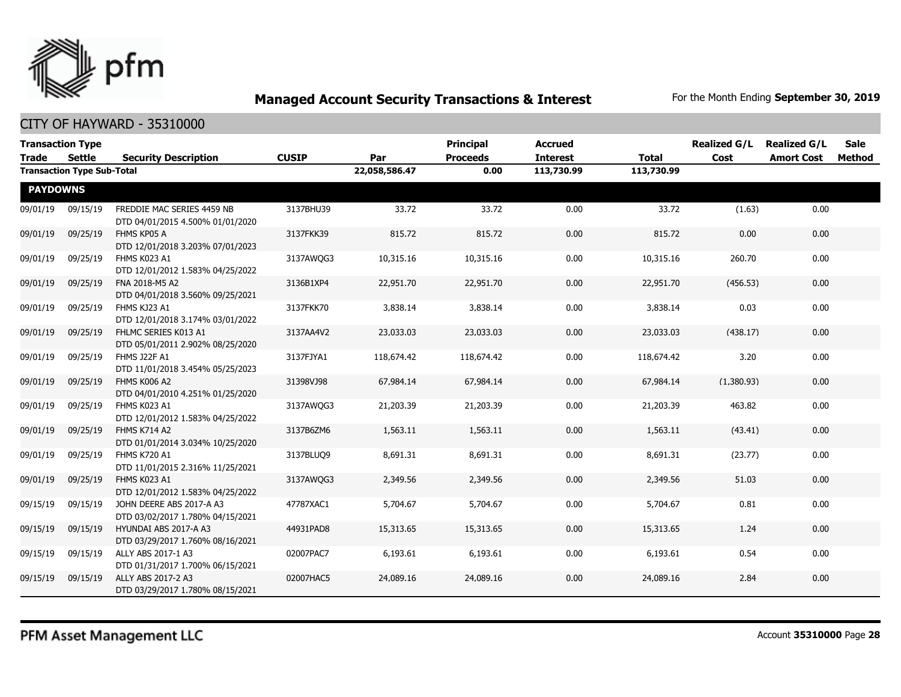

| Trade           | <b>Transaction Type</b><br><b>Settle</b> | <b>Security Description</b>                                    | <b>CUSIP</b> | Par           | <b>Principal</b><br><b>Proceeds</b> | <b>Accrued</b><br><b>Interest</b> | <b>Total</b> | <b>Realized G/L</b><br>Cost | <b>Realized G/L</b><br><b>Amort Cost</b> | <b>Sale</b><br>Method |
|-----------------|------------------------------------------|----------------------------------------------------------------|--------------|---------------|-------------------------------------|-----------------------------------|--------------|-----------------------------|------------------------------------------|-----------------------|
|                 | <b>Transaction Type Sub-Total</b>        |                                                                |              | 22,058,586.47 | 0.00                                | 113,730.99                        | 113,730.99   |                             |                                          |                       |
| <b>PAYDOWNS</b> |                                          |                                                                |              |               |                                     |                                   |              |                             |                                          |                       |
| 09/01/19        | 09/15/19                                 | FREDDIE MAC SERIES 4459 NB<br>DTD 04/01/2015 4.500% 01/01/2020 | 3137BHU39    | 33.72         | 33.72                               | 0.00                              | 33.72        | (1.63)                      | 0.00                                     |                       |
| 09/01/19        | 09/25/19                                 | FHMS KP05 A<br>DTD 12/01/2018 3.203% 07/01/2023                | 3137FKK39    | 815.72        | 815.72                              | 0.00                              | 815.72       | 0.00                        | 0.00                                     |                       |
| 09/01/19        | 09/25/19                                 | FHMS K023 A1<br>DTD 12/01/2012 1.583% 04/25/2022               | 3137AWQG3    | 10,315.16     | 10,315.16                           | 0.00                              | 10,315.16    | 260.70                      | 0.00                                     |                       |
| 09/01/19        | 09/25/19                                 | FNA 2018-M5 A2<br>DTD 04/01/2018 3.560% 09/25/2021             | 3136B1XP4    | 22,951.70     | 22,951.70                           | 0.00                              | 22,951.70    | (456.53)                    | 0.00                                     |                       |
| 09/01/19        | 09/25/19                                 | FHMS KJ23 A1<br>DTD 12/01/2018 3.174% 03/01/2022               | 3137FKK70    | 3,838.14      | 3,838.14                            | 0.00                              | 3,838.14     | 0.03                        | 0.00                                     |                       |
| 09/01/19        | 09/25/19                                 | FHLMC SERIES K013 A1<br>DTD 05/01/2011 2.902% 08/25/2020       | 3137AA4V2    | 23,033.03     | 23,033.03                           | 0.00                              | 23,033.03    | (438.17)                    | 0.00                                     |                       |
| 09/01/19        | 09/25/19                                 | FHMS J22F A1<br>DTD 11/01/2018 3.454% 05/25/2023               | 3137FJYA1    | 118,674.42    | 118,674.42                          | 0.00                              | 118,674.42   | 3.20                        | 0.00                                     |                       |
| 09/01/19        | 09/25/19                                 | FHMS K006 A2<br>DTD 04/01/2010 4.251% 01/25/2020               | 31398VJ98    | 67,984.14     | 67,984.14                           | 0.00                              | 67,984.14    | (1,380.93)                  | 0.00                                     |                       |
| 09/01/19        | 09/25/19                                 | FHMS K023 A1<br>DTD 12/01/2012 1.583% 04/25/2022               | 3137AWQG3    | 21,203.39     | 21,203.39                           | 0.00                              | 21,203.39    | 463.82                      | 0.00                                     |                       |
| 09/01/19        | 09/25/19                                 | FHMS K714 A2<br>DTD 01/01/2014 3.034% 10/25/2020               | 3137B6ZM6    | 1,563.11      | 1,563.11                            | 0.00                              | 1,563.11     | (43.41)                     | 0.00                                     |                       |
| 09/01/19        | 09/25/19                                 | <b>FHMS K720 A1</b><br>DTD 11/01/2015 2.316% 11/25/2021        | 3137BLUQ9    | 8,691.31      | 8,691.31                            | 0.00                              | 8,691.31     | (23.77)                     | 0.00                                     |                       |
| 09/01/19        | 09/25/19                                 | FHMS K023 A1<br>DTD 12/01/2012 1.583% 04/25/2022               | 3137AWQG3    | 2,349.56      | 2,349.56                            | 0.00                              | 2,349.56     | 51.03                       | 0.00                                     |                       |
| 09/15/19        | 09/15/19                                 | JOHN DEERE ABS 2017-A A3<br>DTD 03/02/2017 1.780% 04/15/2021   | 47787XAC1    | 5,704.67      | 5,704.67                            | 0.00                              | 5,704.67     | 0.81                        | 0.00                                     |                       |
| 09/15/19        | 09/15/19                                 | HYUNDAI ABS 2017-A A3<br>DTD 03/29/2017 1.760% 08/16/2021      | 44931PAD8    | 15,313.65     | 15,313.65                           | 0.00                              | 15,313.65    | 1.24                        | 0.00                                     |                       |
| 09/15/19        | 09/15/19                                 | ALLY ABS 2017-1 A3<br>DTD 01/31/2017 1.700% 06/15/2021         | 02007PAC7    | 6,193.61      | 6,193.61                            | 0.00                              | 6,193.61     | 0.54                        | 0.00                                     |                       |
| 09/15/19        | 09/15/19                                 | ALLY ABS 2017-2 A3<br>DTD 03/29/2017 1.780% 08/15/2021         | 02007HAC5    | 24,089.16     | 24,089.16                           | 0.00                              | 24,089.16    | 2.84                        | 0.00                                     |                       |